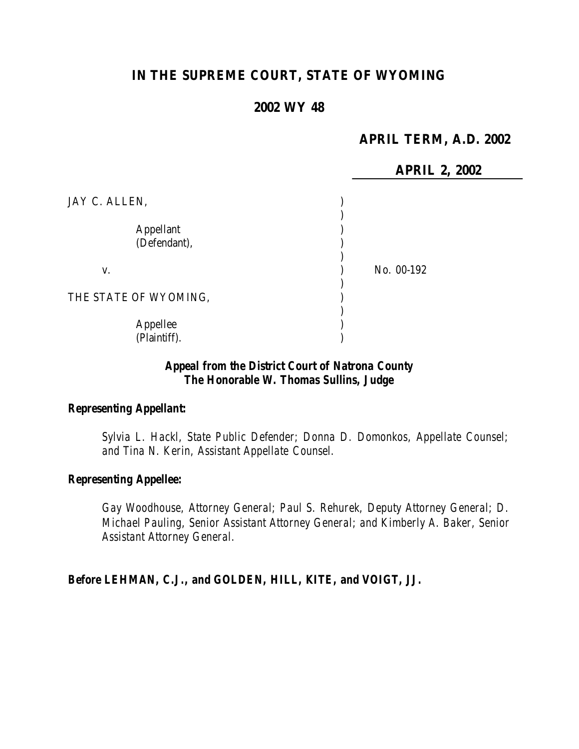# **IN THE SUPREME COURT, STATE OF WYOMING**

### **2002 WY 48**

## **APRIL TERM, A.D. 2002**

**APRIL 2, 2002**

| JAY C. ALLEN,             |            |
|---------------------------|------------|
| Appellant<br>(Defendant), |            |
| V.                        | No. 00-192 |
| THE STATE OF WYOMING,     |            |
| Appellee<br>(Plaintiff).  |            |

## *Appeal from the District Court of Natrona County The Honorable W. Thomas Sullins, Judge*

### *Representing Appellant:*

*Sylvia L. Hackl, State Public Defender; Donna D. Domonkos, Appellate Counsel; and Tina N. Kerin, Assistant Appellate Counsel.*

#### *Representing Appellee:*

*Gay Woodhouse, Attorney General; Paul S. Rehurek, Deputy Attorney General; D. Michael Pauling, Senior Assistant Attorney General; and Kimberly A. Baker, Senior Assistant Attorney General.*

*Before LEHMAN, C.J., and GOLDEN, HILL, KITE, and VOIGT, JJ.*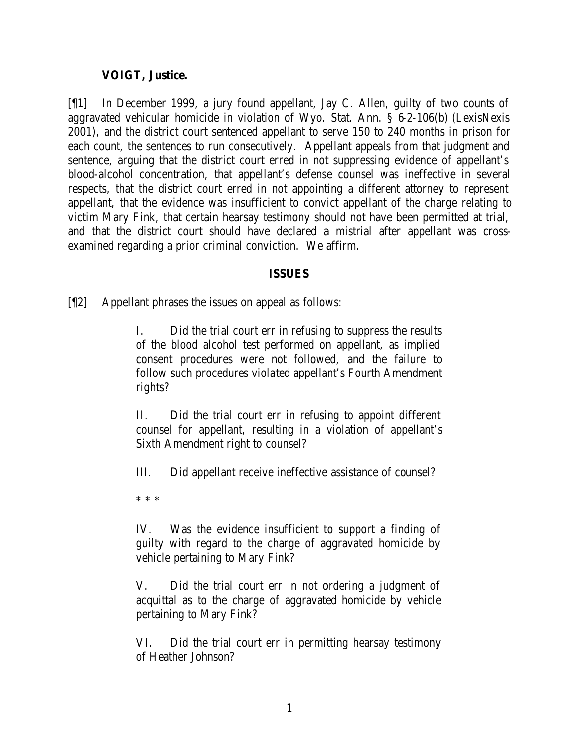## **VOIGT, Justice.**

[¶1] In December 1999, a jury found appellant, Jay C. Allen, guilty of two counts of aggravated vehicular homicide in violation of Wyo. Stat. Ann. § 6-2-106(b) (LexisNexis 2001), and the district court sentenced appellant to serve 150 to 240 months in prison for each count, the sentences to run consecutively. Appellant appeals from that judgment and sentence, arguing that the district court erred in not suppressing evidence of appellant's blood-alcohol concentration, that appellant's defense counsel was ineffective in several respects, that the district court erred in not appointing a different attorney to represent appellant, that the evidence was insufficient to convict appellant of the charge relating to victim Mary Fink, that certain hearsay testimony should not have been permitted at trial, and that the district court should have declared a mistrial after appellant was crossexamined regarding a prior criminal conviction. We affirm.

### **ISSUES**

[¶2] Appellant phrases the issues on appeal as follows:

I. Did the trial court err in refusing to suppress the results of the blood alcohol test performed on appellant, as implied consent procedures were not followed, and the failure to follow such procedures violated appellant's Fourth Amendment rights?

II. Did the trial court err in refusing to appoint different counsel for appellant, resulting in a violation of appellant's Sixth Amendment right to counsel?

III. Did appellant receive ineffective assistance of counsel?

\* \* \*

IV. Was the evidence insufficient to support a finding of guilty with regard to the charge of aggravated homicide by vehicle pertaining to Mary Fink?

V. Did the trial court err in not ordering a judgment of acquittal as to the charge of aggravated homicide by vehicle pertaining to Mary Fink?

VI. Did the trial court err in permitting hearsay testimony of Heather Johnson?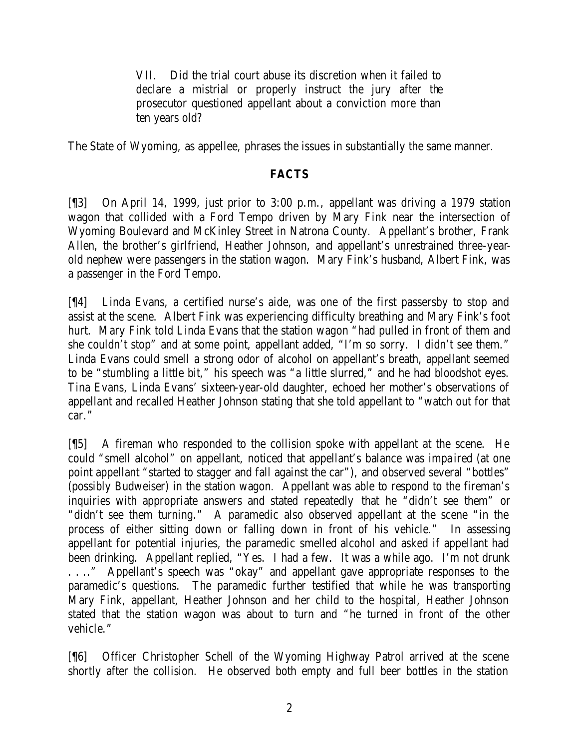VII. Did the trial court abuse its discretion when it failed to declare a mistrial or properly instruct the jury after the prosecutor questioned appellant about a conviction more than ten years old?

The State of Wyoming, as appellee, phrases the issues in substantially the same manner.

### **FACTS**

[¶3] On April 14, 1999, just prior to 3:00 p.m., appellant was driving a 1979 station wagon that collided with a Ford Tempo driven by Mary Fink near the intersection of Wyoming Boulevard and McKinley Street in Natrona County. Appellant's brother, Frank Allen, the brother's girlfriend, Heather Johnson, and appellant's unrestrained three-yearold nephew were passengers in the station wagon. Mary Fink's husband, Albert Fink, was a passenger in the Ford Tempo.

[¶4] Linda Evans, a certified nurse's aide, was one of the first passersby to stop and assist at the scene. Albert Fink was experiencing difficulty breathing and Mary Fink's foot hurt. Mary Fink told Linda Evans that the station wagon "had pulled in front of them and she couldn't stop" and at some point, appellant added, "I'm so sorry. I didn't see them." Linda Evans could smell a strong odor of alcohol on appellant's breath, appellant seemed to be "stumbling a little bit," his speech was "a little slurred," and he had bloodshot eyes. Tina Evans, Linda Evans' sixteen-year-old daughter, echoed her mother's observations of appellant and recalled Heather Johnson stating that she told appellant to "watch out for that car."

[¶5] A fireman who responded to the collision spoke with appellant at the scene. He could "smell alcohol" on appellant, noticed that appellant's balance was impa ired (at one point appellant "started to stagger and fall against the car"), and observed several "bottles" (possibly Budweiser) in the station wagon. Appellant was able to respond to the fireman's inquiries with appropriate answers and stated repeatedly that he "didn't see them" or "didn't see them turning." A paramedic also observed appellant at the scene "in the process of either sitting down or falling down in front of his vehicle." In assessing appellant for potential injuries, the paramedic smelled alcohol and asked if appellant had been drinking. Appellant replied, "Yes. I had a few. It was a while ago. I'm not drunk . . .." Appellant's speech was "okay" and appellant gave appropriate responses to the paramedic's questions. The paramedic further testified that while he was transporting Mary Fink, appellant, Heather Johnson and her child to the hospital, Heather Johnson stated that the station wagon was about to turn and "he turned in front of the other vehicle."

[¶6] Officer Christopher Schell of the Wyoming Highway Patrol arrived at the scene shortly after the collision. He observed both empty and full beer bottles in the station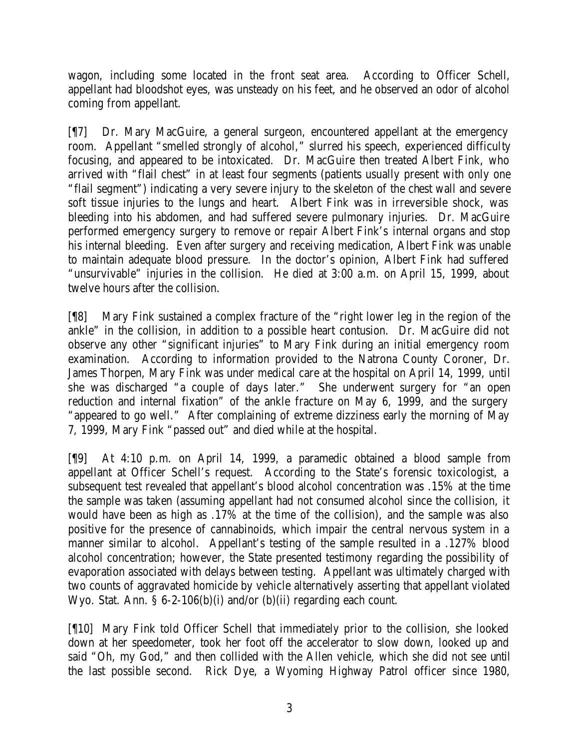wagon, including some located in the front seat area. According to Officer Schell, appellant had bloodshot eyes, was unsteady on his feet, and he observed an odor of alcohol coming from appellant.

[¶7] Dr. Mary MacGuire, a general surgeon, encountered appellant at the emergency room. Appellant "smelled strongly of alcohol," slurred his speech, experienced difficulty focusing, and appeared to be intoxicated. Dr. MacGuire then treated Albert Fink, who arrived with "flail chest" in at least four segments (patients usually present with only one "flail segment") indicating a very severe injury to the skeleton of the chest wall and severe soft tissue injuries to the lungs and heart. Albert Fink was in irreversible shock, was bleeding into his abdomen, and had suffered severe pulmonary injuries. Dr. MacGuire performed emergency surgery to remove or repair Albert Fink's internal organs and stop his internal bleeding. Even after surgery and receiving medication, Albert Fink was unable to maintain adequate blood pressure. In the doctor's opinion, Albert Fink had suffered "unsurvivable" injuries in the collision. He died at 3:00 a.m. on April 15, 1999, about twelve hours after the collision.

[¶8] Mary Fink sustained a complex fracture of the "right lower leg in the region of the ankle" in the collision, in addition to a possible heart contusion. Dr. MacGuire did not observe any other "significant injuries" to Mary Fink during an initial emergency room examination. According to information provided to the Natrona County Coroner, Dr. James Thorpen, Mary Fink was under medical care at the hospital on April 14, 1999, until she was discharged "a couple of days later." She underwent surgery for "an open reduction and internal fixation" of the ankle fracture on May 6, 1999, and the surgery "appeared to go well." After complaining of extreme dizziness early the morning of May 7, 1999, Mary Fink "passed out" and died while at the hospital.

[¶9] At 4:10 p.m. on April 14, 1999, a paramedic obtained a blood sample from appellant at Officer Schell's request. According to the State's forensic toxicologist, a subsequent test revealed that appellant's blood alcohol concentration was .15% at the time the sample was taken (assuming appellant had not consumed alcohol since the collision, it would have been as high as .17% at the time of the collision), and the sample was also positive for the presence of cannabinoids, which impair the central nervous system in a manner similar to alcohol. Appellant's testing of the sample resulted in a .127% blood alcohol concentration; however, the State presented testimony regarding the possibility of evaporation associated with delays between testing. Appellant was ultimately charged with two counts of aggravated homicide by vehicle alternatively asserting that appellant violated Wyo. Stat. Ann. § 6-2-106(b)(i) and/or (b)(ii) regarding each count.

[¶10] Mary Fink told Officer Schell that immediately prior to the collision, she looked down at her speedometer, took her foot off the accelerator to slow down, looked up and said "Oh, my God," and then collided with the Allen vehicle, which she did not see until the last possible second. Rick Dye, a Wyoming Highway Patrol officer since 1980,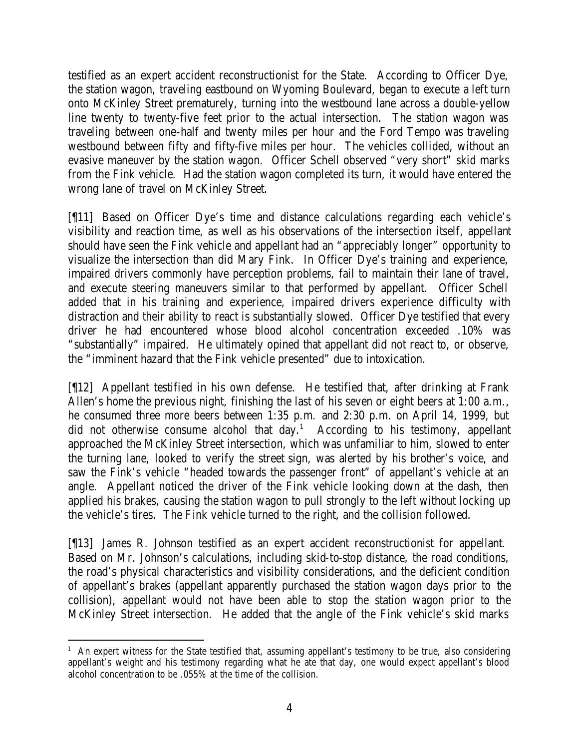testified as an expert accident reconstructionist for the State. According to Officer Dye, the station wagon, traveling eastbound on Wyoming Boulevard, began to execute a left turn onto McKinley Street prematurely, turning into the westbound lane across a double-yellow line twenty to twenty-five feet prior to the actual intersection. The station wagon was traveling between one-half and twenty miles per hour and the Ford Tempo was traveling westbound between fifty and fifty-five miles per hour. The vehicles collided, without an evasive maneuver by the station wagon. Officer Schell observed "very short" skid marks from the Fink vehicle. Had the station wagon completed its turn, it would have entered the wrong lane of travel on McKinley Street.

[¶11] Based on Officer Dye's time and distance calculations regarding each vehicle's visibility and reaction time, as well as his observations of the intersection itself, appellant should have seen the Fink vehicle and appellant had an "appreciably longer" opportunity to visualize the intersection than did Mary Fink. In Officer Dye's training and experience, impaired drivers commonly have perception problems, fail to maintain their lane of travel, and execute steering maneuvers similar to that performed by appellant. Officer Schell added that in his training and experience, impaired drivers experience difficulty with distraction and their ability to react is substantially slowed. Officer Dye testified that every driver he had encountered whose blood alcohol concentration exceeded .10% was "substantially" impaired. He ultimately opined that appellant did not react to, or observe, the "imminent hazard that the Fink vehicle presented" due to intoxication.

[¶12] Appellant testified in his own defense. He testified that, after drinking at Frank Allen's home the previous night, finishing the last of his seven or eight beers at 1:00 a.m., he consumed three more beers between 1:35 p.m. and 2:30 p.m. on April 14, 1999, but did not otherwise consume alcohol that day.<sup>1</sup> According to his testimony, appellant approached the McKinley Street intersection, which was unfamiliar to him, slowed to enter the turning lane, looked to verify the street sign, was alerted by his brother's voice, and saw the Fink's vehicle "headed towards the passenger front" of appellant's vehicle at an angle. Appellant noticed the driver of the Fink vehicle looking down at the dash, then applied his brakes, causing the station wagon to pull strongly to the left without locking up the vehicle's tires. The Fink vehicle turned to the right, and the collision followed.

[¶13] James R. Johnson testified as an expert accident reconstructionist for appellant. Based on Mr. Johnson's calculations, including skid-to-stop distance, the road conditions, the road's physical characteristics and visibility considerations, and the deficient condition of appellant's brakes (appellant apparently purchased the station wagon days prior to the collision), appellant would not have been able to stop the station wagon prior to the McKinley Street intersection. He added that the angle of the Fink vehicle's skid marks

 <sup>1</sup> An expert witness for the State testified that, assuming appellant's testimony to be true, also considering appellant's weight and his testimony regarding what he ate that day, one would expect appellant's blood alcohol concentration to be .055% at the time of the collision.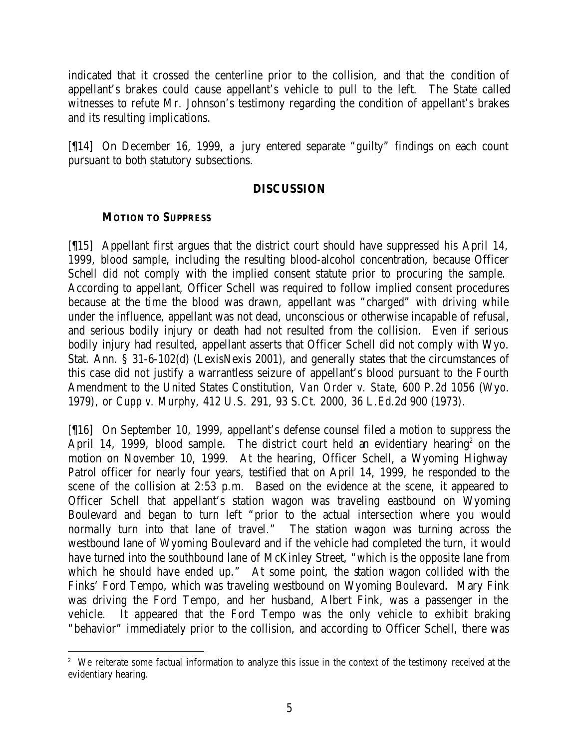indicated that it crossed the centerline prior to the collision, and that the condition of appellant's brakes could cause appellant's vehicle to pull to the left. The State called witnesses to refute Mr. Johnson's testimony regarding the condition of appellant's brakes and its resulting implications.

[¶14] On December 16, 1999, a jury entered separate "guilty" findings on each count pursuant to both statutory subsections.

### **DISCUSSION**

### **MOTION TO SUPPRESS**

[¶15] Appellant first argues that the district court should have suppressed his April 14, 1999, blood sample, including the resulting blood-alcohol concentration, because Officer Schell did not comply with the implied consent statute prior to procuring the sample. According to appellant, Officer Schell was required to follow implied consent procedures because at the time the blood was drawn, appellant was "charged" with driving while under the influence, appellant was not dead, unconscious or otherwise incapable of refusal, and serious bodily injury or death had not resulted from the collision. Even if serious bodily injury had resulted, appellant asserts that Officer Schell did not comply with Wyo. Stat. Ann. § 31-6-102(d) (LexisNexis 2001), and generally states that the circumstances of this case did not justify a warrantless seizure of appellant's blood pursuant to the Fourth Amendment to the United States Constitution, *Van Order v. State*, 600 P.2d 1056 (Wyo. 1979), or *Cupp v. Murphy*, 412 U.S. 291, 93 S.Ct. 2000, 36 L.Ed.2d 900 (1973).

[¶16] On September 10, 1999, appellant's defense counsel filed a motion to suppress the April 14, 1999, blood sample. The district court held an evidentiary hearing<sup>2</sup> on the motion on November 10, 1999. At the hearing, Officer Schell, a Wyoming Highway Patrol officer for nearly four years, testified that on April 14, 1999, he responded to the scene of the collision at 2:53 p.m. Based on the evidence at the scene, it appeared to Officer Schell that appellant's station wagon was traveling eastbound on Wyoming Boulevard and began to turn left "prior to the actual intersection where you would normally turn into that lane of travel." The station wagon was turning across the westbound lane of Wyoming Boulevard and if the vehicle had completed the turn, it would have turned into the southbound lane of McKinley Street, "which is the opposite lane from which he should have ended up." At some point, the station wagon collided with the Finks' Ford Tempo, which was traveling westbound on Wyoming Boulevard. Mary Fink was driving the Ford Tempo, and her husband, Albert Fink, was a passenger in the vehicle. It appeared that the Ford Tempo was the only vehicle to exhibit braking "behavior" immediately prior to the collision, and according to Officer Schell, there was

<sup>&</sup>lt;sup>2</sup> We reiterate some factual information to analyze this issue in the context of the testimony received at the evidentiary hearing.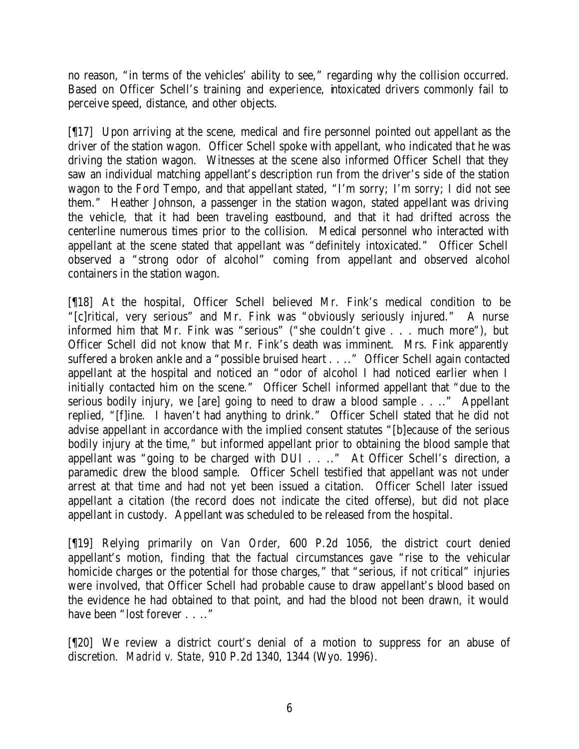no reason, "in terms of the vehicles' ability to see," regarding why the collision occurred. Based on Officer Schell's training and experience, intoxicated drivers commonly fail to perceive speed, distance, and other objects.

[¶17] Upon arriving at the scene, medical and fire personnel pointed out appellant as the driver of the station wagon. Officer Schell spoke with appellant, who indicated tha t he was driving the station wagon. Witnesses at the scene also informed Officer Schell that they saw an individual matching appellant's description run from the driver's side of the station wagon to the Ford Tempo, and that appellant stated, "I'm sorry; I'm sorry; I did not see them." Heather Johnson, a passenger in the station wagon, stated appellant was driving the vehicle, that it had been traveling eastbound, and that it had drifted across the centerline numerous times prior to the collision. Medical personnel who interacted with appellant at the scene stated that appellant was "definitely intoxicated." Officer Schell observed a "strong odor of alcohol" coming from appellant and observed alcohol containers in the station wagon.

[¶18] At the hospital, Officer Schell believed Mr. Fink's medical condition to be "[c]ritical, very serious" and Mr. Fink was "obviously seriously injured." A nurse informed him that Mr. Fink was "serious" ("she couldn't give . . . much more"), but Officer Schell did not know that Mr. Fink's death was imminent. Mrs. Fink apparently suffered a broken ankle and a "possible bruised heart . . .." Officer Schell again contacted appellant at the hospital and noticed an "odor of alcohol I had noticed earlier when I initially contacted him on the scene." Officer Schell informed appellant that "due to the serious bodily injury, we [are] going to need to draw a blood sample . . .." Appellant replied, "[f]ine. I haven't had anything to drink." Officer Schell stated that he did not advise appellant in accordance with the implied consent statutes "[b]ecause of the serious bodily injury at the time," but informed appellant prior to obtaining the blood sample that appellant was "going to be charged with DUI . . .." At Officer Schell's direction, a paramedic drew the blood sample. Officer Schell testified that appellant was not under arrest at that time and had not yet been issued a citation. Officer Schell later issued appellant a citation (the record does not indicate the cited offense), but did not place appellant in custody. Appellant was scheduled to be released from the hospital.

[¶19] Relying primarily on *Van Order*, 600 P.2d 1056, the district court denied appellant's motion, finding that the factual circumstances gave "rise to the vehicular homicide charges or the potential for those charges," that "serious, if not critical" injuries were involved, that Officer Schell had probable cause to draw appellant's blood based on the evidence he had obtained to that point, and had the blood not been drawn, it would have been "lost forever . . .."

[¶20] We review a district court's denial of a motion to suppress for an abuse of discretion. *Madrid v. State*, 910 P.2d 1340, 1344 (Wyo. 1996).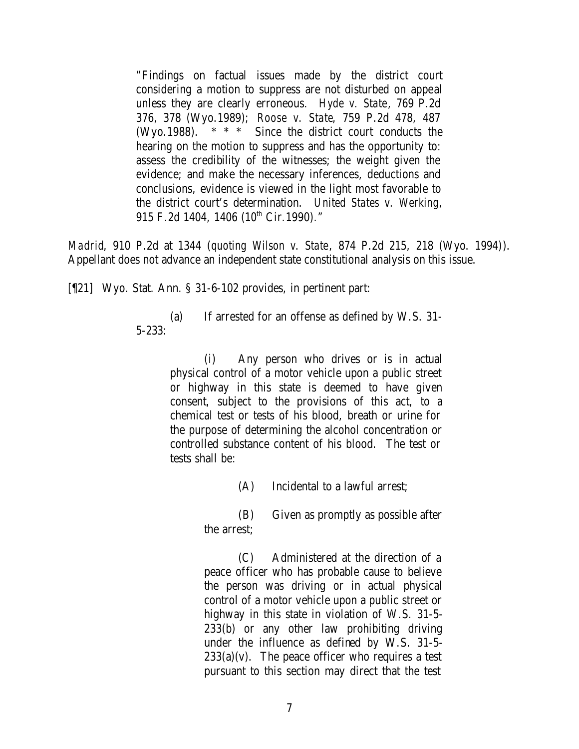"Findings on factual issues made by the district court considering a motion to suppress are not disturbed on appeal unless they are clearly erroneous. *Hyde v. State*, 769 P.2d 376, 378 (Wyo.1989); *Roose v. State*, 759 P.2d 478, 487 (Wyo.1988). \* \* \* Since the district court conducts the hearing on the motion to suppress and has the opportunity to: assess the credibility of the witnesses; the weight given the evidence; and make the necessary inferences, deductions and conclusions, evidence is viewed in the light most favorable to the district court's determination. *United States v. Werking*, 915 F.2d 1404, 1406 (10<sup>th</sup> Cir.1990)."

*Madrid*, 910 P.2d at 1344 (*quoting Wilson v. State*, 874 P.2d 215, 218 (Wyo. 1994)). Appellant does not advance an independent state constitutional analysis on this issue.

[¶21] Wyo. Stat. Ann. § 31-6-102 provides, in pertinent part:

(a) If arrested for an offense as defined by W.S. 31- 5-233:

> (i) Any person who drives or is in actual physical control of a motor vehicle upon a public street or highway in this state is deemed to have given consent, subject to the provisions of this act, to a chemical test or tests of his blood, breath or urine for the purpose of determining the alcohol concentration or controlled substance content of his blood. The test or tests shall be:

> > (A) Incidental to a lawful arrest;

(B) Given as promptly as possible after the arrest;

(C) Administered at the direction of a peace officer who has probable cause to believe the person was driving or in actual physical control of a motor vehicle upon a public street or highway in this state in violation of W.S. 31-5- 233(b) or any other law prohibiting driving under the influence as defined by W.S. 31-5-  $233(a)(v)$ . The peace officer who requires a test pursuant to this section may direct that the test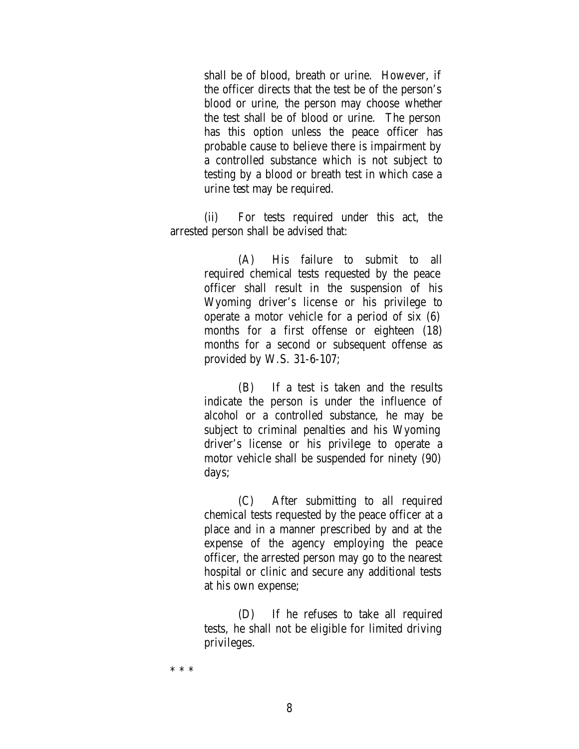shall be of blood, breath or urine. However, if the officer directs that the test be of the person's blood or urine, the person may choose whether the test shall be of blood or urine. The person has this option unless the peace officer has probable cause to believe there is impairment by a controlled substance which is not subject to testing by a blood or breath test in which case a urine test may be required.

(ii) For tests required under this act, the arrested person shall be advised that:

> (A) His failure to submit to all required chemical tests requested by the peace officer shall result in the suspension of his Wyoming driver's license or his privilege to operate a motor vehicle for a period of six (6) months for a first offense or eighteen (18) months for a second or subsequent offense as provided by W.S. 31-6-107;

> (B) If a test is taken and the results indicate the person is under the influence of alcohol or a controlled substance, he may be subject to criminal penalties and his Wyoming driver's license or his privilege to operate a motor vehicle shall be suspended for ninety (90) days;

> (C) After submitting to all required chemical tests requested by the peace officer at a place and in a manner prescribed by and at the expense of the agency employing the peace officer, the arrested person may go to the nearest hospital or clinic and secure any additional tests at his own expense;

> (D) If he refuses to take all required tests, he shall not be eligible for limited driving privileges.

\* \* \*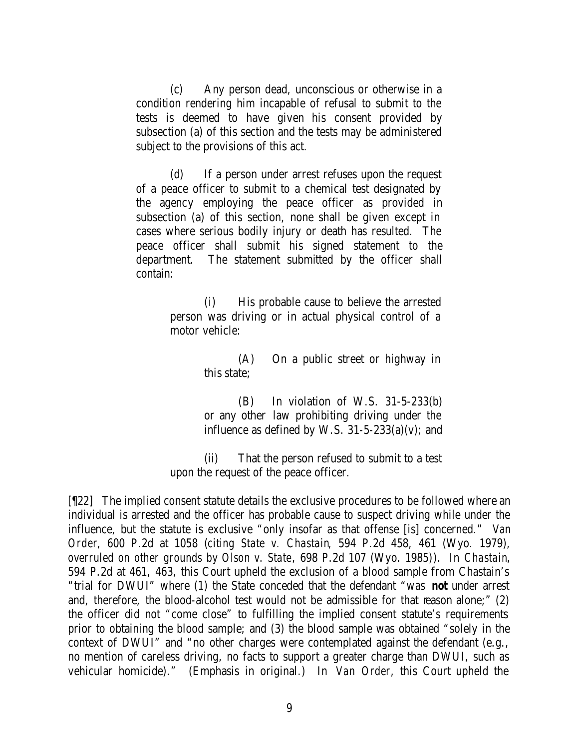(c) Any person dead, unconscious or otherwise in a condition rendering him incapable of refusal to submit to the tests is deemed to have given his consent provided by subsection (a) of this section and the tests may be administered subject to the provisions of this act.

(d) If a person under arrest refuses upon the request of a peace officer to submit to a chemical test designated by the agency employing the peace officer as provided in subsection (a) of this section, none shall be given except in cases where serious bodily injury or death has resulted. The peace officer shall submit his signed statement to the department. The statement submitted by the officer shall contain:

> (i) His probable cause to believe the arrested person was driving or in actual physical control of a motor vehicle:

> > (A) On a public street or highway in this state;

> > (B) In violation of W.S. 31-5-233(b) or any other law prohibiting driving under the influence as defined by W.S.  $31-5-233(a)(v)$ ; and

(ii) That the person refused to submit to a test upon the request of the peace officer.

[¶22] The implied consent statute details the exclusive procedures to be followed where an individual is arrested and the officer has probable cause to suspect driving while under the influence, but the statute is exclusive "only insofar as that offense [is] concerned." *Van Order*, 600 P.2d at 1058 (*citing State v. Chastain*, 594 P.2d 458, 461 (Wyo. 1979), *overruled on other grounds by Olson v. State*, 698 P.2d 107 (Wyo. 1985)). In *Chastain*, 594 P.2d at 461, 463, this Court upheld the exclusion of a blood sample from Chastain's "trial for DWUI" where (1) the State conceded that the defendant "was *not* under arrest and, therefore, the blood-alcohol test would not be admissible for that reason alone;" (2) the officer did not "come close" to fulfilling the implied consent statute's requirements prior to obtaining the blood sample; and (3) the blood sample was obtained "solely in the context of DWUI" and "no other charges were contemplated against the defendant (e.g., no mention of careless driving, no facts to support a greater charge than DWUI, such as vehicular homicide)." (Emphasis in original.) In *Van Order*, this Court upheld the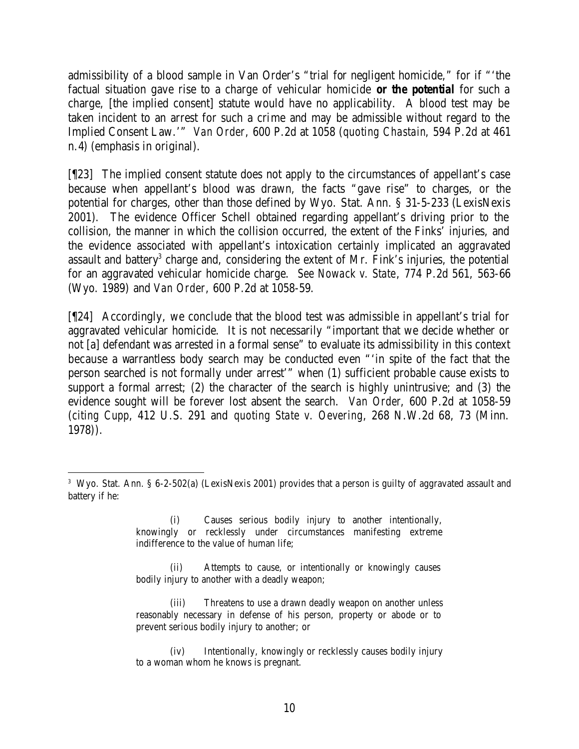admissibility of a blood sample in Van Order's "trial for negligent homicide," for if "'the factual situation gave rise to a charge of vehicular homicide *or the potential* for such a charge, [the implied consent] statute would have no applicability. A blood test may be taken incident to an arrest for such a crime and may be admissible without regard to the Implied Consent Law.'" *Van Order*, 600 P.2d at 1058 (*quoting Chastain*, 594 P.2d at 461 n.4) (emphasis in original).

[¶23] The implied consent statute does not apply to the circumstances of appellant's case because when appellant's blood was drawn, the facts "gave rise" to charges, or the potential for charges, other than those defined by Wyo. Stat. Ann. § 31-5-233 (LexisNexis 2001). The evidence Officer Schell obtained regarding appellant's driving prior to the collision, the manner in which the collision occurred, the extent of the Finks' injuries, and the evidence associated with appellant's intoxication certainly implicated an aggravated assault and battery<sup>3</sup> charge and, considering the extent of Mr. Fink's injuries, the potential for an aggravated vehicular homicide charge. *See Nowack v. State*, 774 P.2d 561, 563-66 (Wyo. 1989) and *Van Order*, 600 P.2d at 1058-59.

[¶24] Accordingly, we conclude that the blood test was admissible in appellant's trial for aggravated vehicular homicide. It is not necessarily "important that we decide whether or not [a] defendant was arrested in a formal sense" to evaluate its admissibility in this context because a warrantless body search may be conducted even "'in spite of the fact that the person searched is not formally under arrest'" when (1) sufficient probable cause exists to support a formal arrest; (2) the character of the search is highly unintrusive; and (3) the evidence sought will be forever lost absent the search. *Van Order*, 600 P.2d at 1058-59 (*citing Cupp*, 412 U.S. 291 and *quoting State v. Oevering*, 268 N.W.2d 68, 73 (Minn. 1978)).

 3 Wyo. Stat. Ann. § 6-2-502(a) (LexisNexis 2001) provides that a person is guilty of aggravated assault and battery if he:

<sup>(</sup>i) Causes serious bodily injury to another intentionally, knowingly or recklessly under circumstances manifesting extreme indifference to the value of human life;

<sup>(</sup>ii) Attempts to cause, or intentionally or knowingly causes bodily injury to another with a deadly weapon;

<sup>(</sup>iii) Threatens to use a drawn deadly weapon on another unless reasonably necessary in defense of his person, property or abode or to prevent serious bodily injury to another; or

<sup>(</sup>iv) Intentionally, knowingly or recklessly causes bodily injury to a woman whom he knows is pregnant.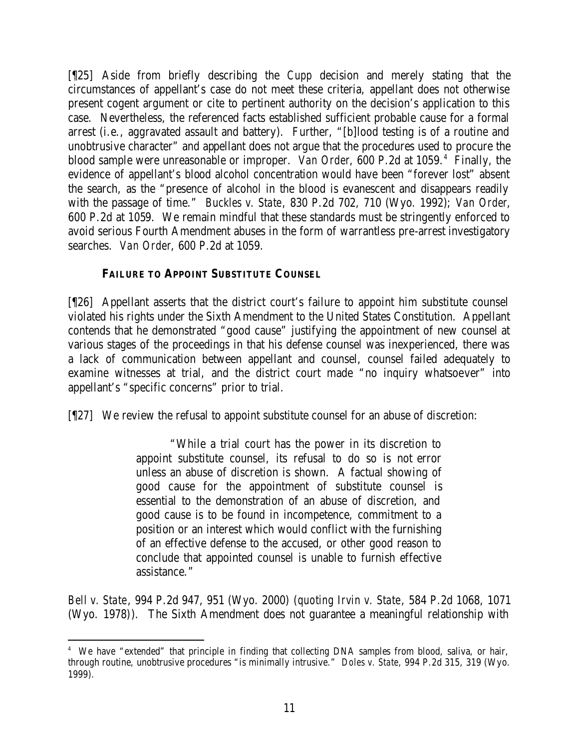[¶25] Aside from briefly describing the *Cupp* decision and merely stating that the circumstances of appellant's case do not meet these criteria, appellant does not otherwise present cogent argument or cite to pertinent authority on the decision's application to this case. Nevertheless, the referenced facts established sufficient probable cause for a formal arrest (i.e., aggravated assault and battery). Further, "[b]lood testing is of a routine and unobtrusive character" and appellant does not argue that the procedures used to procure the blood sample were unreasonable or improper. *Van Order*, 600 P.2d at 1059.<sup>4</sup> Finally, the evidence of appellant's blood alcohol concentration would have been "forever lost" absent the search, as the "presence of alcohol in the blood is evanescent and disappears readily with the passage of time." *Buckles v. State*, 830 P.2d 702, 710 (Wyo. 1992); *Van Order*, 600 P.2d at 1059. We remain mindful that these standards must be stringently enforced to avoid serious Fourth Amendment abuses in the form of warrantless pre-arrest investigatory searches. *Van Order*, 600 P.2d at 1059.

# **FAILURE TO APPOINT SUBSTITUTE COUNSEL**

[¶26] Appellant asserts that the district court's failure to appoint him substitute counsel violated his rights under the Sixth Amendment to the United States Constitution. Appellant contends that he demonstrated "good cause" justifying the appointment of new counsel at various stages of the proceedings in that his defense counsel was inexperienced, there was a lack of communication between appellant and counsel, counsel failed adequately to examine witnesses at trial, and the district court made "no inquiry whatsoever" into appellant's "specific concerns" prior to trial.

[¶27] We review the refusal to appoint substitute counsel for an abuse of discretion:

"While a trial court has the power in its discretion to appoint substitute counsel, its refusal to do so is not error unless an abuse of discretion is shown. A factual showing of good cause for the appointment of substitute counsel is essential to the demonstration of an abuse of discretion, and good cause is to be found in incompetence, commitment to a position or an interest which would conflict with the furnishing of an effective defense to the accused, or other good reason to conclude that appointed counsel is unable to furnish effective assistance."

*Bell v. State*, 994 P.2d 947, 951 (Wyo. 2000) (*quoting Irvin v. State*, 584 P.2d 1068, 1071 (Wyo. 1978)). The Sixth Amendment does not guarantee a meaningful relationship with

 4 We have "extended" that principle in finding that collecting DNA samples from blood, saliva, or hair, through routine, unobtrusive procedures "is minimally intrusive." *Doles v. State*, 994 P.2d 315, 319 (Wyo. 1999).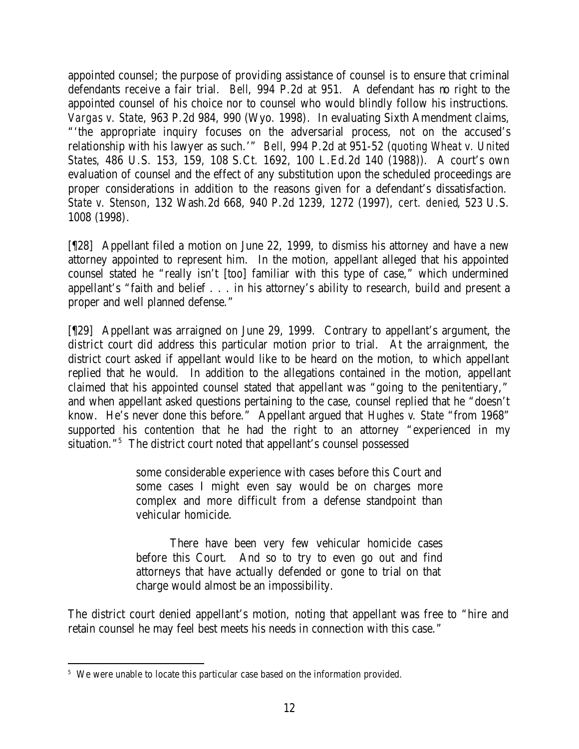appointed counsel; the purpose of providing assistance of counsel is to ensure that criminal defendants receive a fair trial. *Bell*, 994 P.2d at 951. A defendant has no right to the appointed counsel of his choice nor to counsel who would blindly follow his instructions. *Vargas v. State*, 963 P.2d 984, 990 (Wyo. 1998). In evaluating Sixth Amendment claims, "'the appropriate inquiry focuses on the adversarial process, not on the accused's relationship with his lawyer as such.'" *Bell*, 994 P.2d at 951-52 (*quoting Wheat v. United States*, 486 U.S. 153, 159, 108 S.Ct. 1692, 100 L.Ed.2d 140 (1988)). A court's own evaluation of counsel and the effect of any substitution upon the scheduled proceedings are proper considerations in addition to the reasons given for a defendant's dissatisfaction. *State v. Stenson*, 132 Wash.2d 668, 940 P.2d 1239, 1272 (1997), *cert. denied*, 523 U.S. 1008 (1998).

[¶28] Appellant filed a motion on June 22, 1999, to dismiss his attorney and have a new attorney appointed to represent him. In the motion, appellant alleged that his appointed counsel stated he "really isn't [too] familiar with this type of case," which undermined appellant's "faith and belief . . . in his attorney's ability to research, build and present a proper and well planned defense."

[¶29] Appellant was arraigned on June 29, 1999. Contrary to appellant's argument, the district court did address this particular motion prior to trial. At the arraignment, the district court asked if appellant would like to be heard on the motion, to which appellant replied that he would. In addition to the allegations contained in the motion, appellant claimed that his appointed counsel stated that appellant was "going to the penitentiary," and when appellant asked questions pertaining to the case, counsel replied that he "doesn't know. He's never done this before." Appellant argued that *Hughes v. State* "from 1968" supported his contention that he had the right to an attorney "experienced in my situation."<sup>5</sup> The district court noted that appellant's counsel possessed

> some considerable experience with cases before this Court and some cases I might even say would be on charges more complex and more difficult from a defense standpoint than vehicular homicide.

> There have been very few vehicular homicide cases before this Court. And so to try to even go out and find attorneys that have actually defended or gone to trial on that charge would almost be an impossibility.

The district court denied appellant's motion, noting that appellant was free to "hire and retain counsel he may feel best meets his needs in connection with this case."

 <sup>5</sup> We were unable to locate this particular case based on the information provided.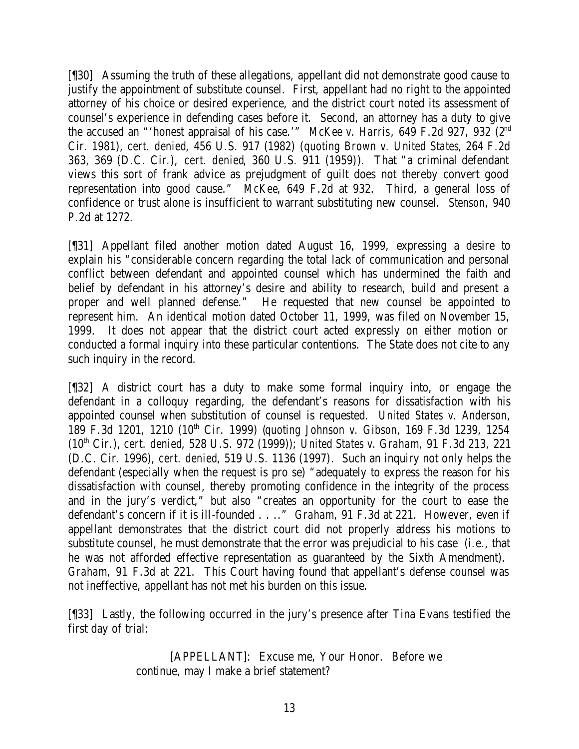[¶30] Assuming the truth of these allegations, appellant did not demonstrate good cause to justify the appointment of substitute counsel. First, appellant had no right to the appointed attorney of his choice or desired experience, and the district court noted its assessment of counsel's experience in defending cases before it. Second, an attorney has a duty to give the accused an "'honest appraisal of his case.'" *McKee v. Harris*, 649 F.2d 927, 932 (2nd Cir. 1981), *cert. denied*, 456 U.S. 917 (1982) (*quoting Brown v. United States*, 264 F.2d 363, 369 (D.C. Cir.), *cert. denied*, 360 U.S. 911 (1959)). That "a criminal defendant views this sort of frank advice as prejudgment of guilt does not thereby convert good representation into good cause." *McKee*, 649 F.2d at 932. Third, a general loss of confidence or trust alone is insufficient to warrant substituting new counsel. *Stenson*, 940 P.2d at 1272.

[¶31] Appellant filed another motion dated August 16, 1999, expressing a desire to explain his "considerable concern regarding the total lack of communication and personal conflict between defendant and appointed counsel which has undermined the faith and belief by defendant in his attorney's desire and ability to research, build and present a proper and well planned defense." He requested that new counsel be appointed to represent him. An identical motion dated October 11, 1999, was filed on November 15, 1999. It does not appear that the district court acted expressly on either motion or conducted a formal inquiry into these particular contentions. The State does not cite to any such inquiry in the record.

[¶32] A district court has a duty to make some formal inquiry into, or engage the defendant in a colloquy regarding, the defendant's reasons for dissatisfaction with his appointed counsel when substitution of counsel is requested. *United States v. Anderson*, 189 F.3d 1201, 1210 (10th Cir. 1999) (*quoting Johnson v. Gibson*, 169 F.3d 1239, 1254 (10th Cir.), *cert. denied*, 528 U.S. 972 (1999)); *United States v. Graham*, 91 F.3d 213, 221 (D.C. Cir. 1996), *cert. denied*, 519 U.S. 1136 (1997). Such an inquiry not only helps the defendant (especially when the request is pro se) "adequately to express the reason for his dissatisfaction with counsel, thereby promoting confidence in the integrity of the process and in the jury's verdict," but also "creates an opportunity for the court to ease the defendant's concern if it is ill-founded . . .." *Graham*, 91 F.3d at 221. However, even if appellant demonstrates that the district court did not properly address his motions to substitute counsel, he must demonstrate that the error was prejudicial to his case (i.e., that he was not afforded effective representation as guaranteed by the Sixth Amendment). *Graham*, 91 F.3d at 221. This Court having found that appellant's defense counsel was not ineffective, appellant has not met his burden on this issue.

[¶33] Lastly, the following occurred in the jury's presence after Tina Evans testified the first day of trial:

> [APPELLANT]: Excuse me, Your Honor. Before we continue, may I make a brief statement?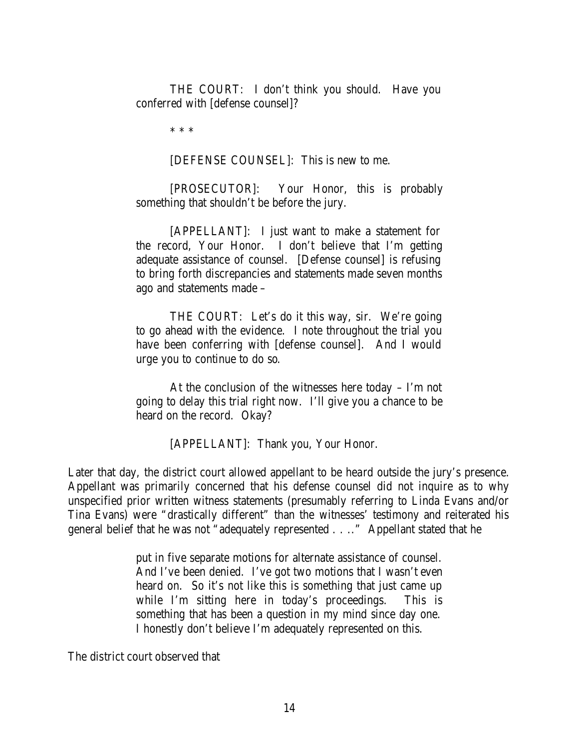THE COURT: I don't think you should. Have you conferred with [defense counsel]?

\* \* \*

[DEFENSE COUNSEL]: This is new to me.

[PROSECUTOR]: Your Honor, this is probably something that shouldn't be before the jury.

[APPELLANT]: I just want to make a statement for the record, Your Honor. I don't believe that I'm getting adequate assistance of counsel. [Defense counsel] is refusing to bring forth discrepancies and statements made seven months ago and statements made –

THE COURT: Let's do it this way, sir. We're going to go ahead with the evidence. I note throughout the trial you have been conferring with [defense counsel]. And I would urge you to continue to do so.

At the conclusion of the witnesses here today – I'm not going to delay this trial right now. I'll give you a chance to be heard on the record. Okay?

[APPELLANT]: Thank you, Your Honor.

Later that day, the district court allowed appellant to be heard outside the jury's presence. Appellant was primarily concerned that his defense counsel did not inquire as to why unspecified prior written witness statements (presumably referring to Linda Evans and/or Tina Evans) were "drastically different" than the witnesses' testimony and reiterated his general belief that he was not "adequately represented . . .." Appellant stated that he

> put in five separate motions for alternate assistance of counsel. And I've been denied. I've got two motions that I wasn't even heard on. So it's not like this is something that just came up while I'm sitting here in today's proceedings. This is something that has been a question in my mind since day one. I honestly don't believe I'm adequately represented on this.

The district court observed that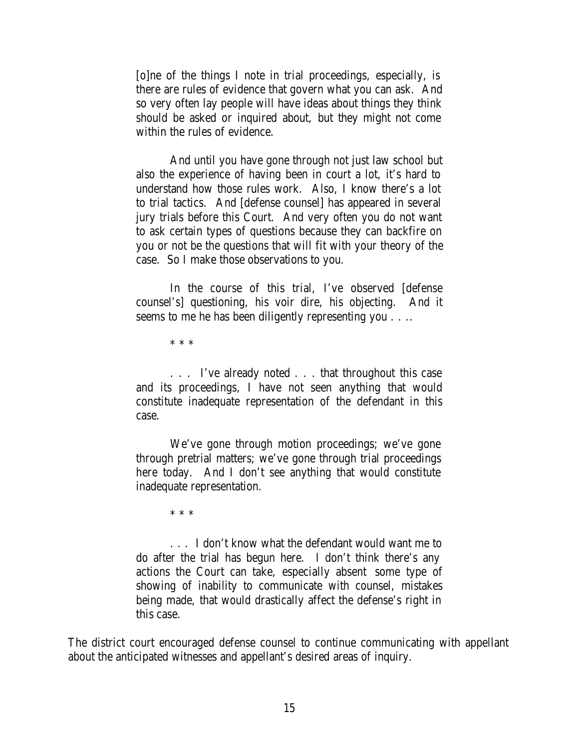[o]ne of the things I note in trial proceedings, especially, is there are rules of evidence that govern what you can ask. And so very often lay people will have ideas about things they think should be asked or inquired about, but they might not come within the rules of evidence.

And until you have gone through not just law school but also the experience of having been in court a lot, it's hard to understand how those rules work. Also, I know there's a lot to trial tactics. And [defense counsel] has appeared in several jury trials before this Court. And very often you do not want to ask certain types of questions because they can backfire on you or not be the questions that will fit with your theory of the case. So I make those observations to you.

In the course of this trial, I've observed [defense counsel's] questioning, his voir dire, his objecting. And it seems to me he has been diligently representing you . . ..

\* \* \*

. . . I've already noted . . . that throughout this case and its proceedings, I have not seen anything that would constitute inadequate representation of the defendant in this case.

We've gone through motion proceedings; we've gone through pretrial matters; we've gone through trial proceedings here today. And I don't see anything that would constitute inadequate representation.

\* \* \*

. . . I don't know what the defendant would want me to do after the trial has begun here. I don't think there's any actions the Court can take, especially absent some type of showing of inability to communicate with counsel, mistakes being made, that would drastically affect the defense's right in this case.

The district court encouraged defense counsel to continue communicating with appellant about the anticipated witnesses and appellant's desired areas of inquiry.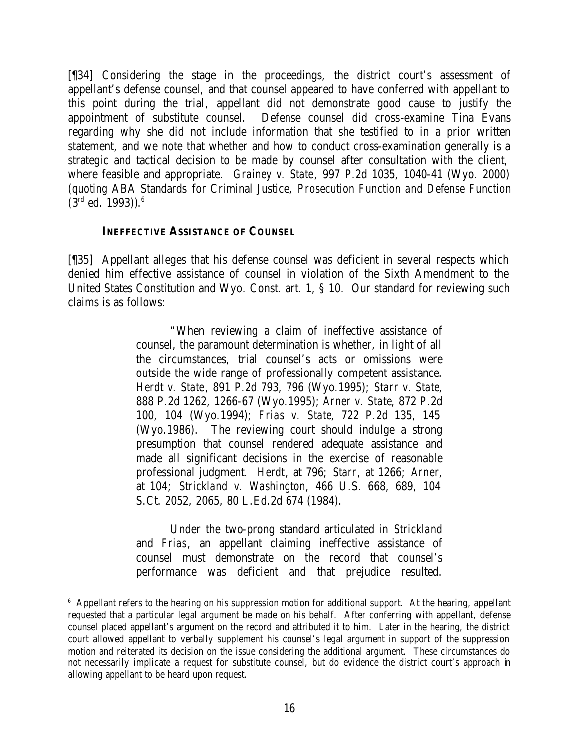[¶34] Considering the stage in the proceedings, the district court's assessment of appellant's defense counsel, and that counsel appeared to have conferred with appellant to this point during the trial, appellant did not demonstrate good cause to justify the appointment of substitute counsel. Defense counsel did cross-examine Tina Evans regarding why she did not include information that she testified to in a prior written statement, and we note that whether and how to conduct cross-examination generally is a strategic and tactical decision to be made by counsel after consultation with the client, where feasible and appropriate. *Grainey v. State*, 997 P.2d 1035, 1040-41 (Wyo. 2000) (*quoting* ABA Standards for Criminal Justice, *Prosecution Function and Defense Function*  $(3<sup>rd</sup> ed. 1993))$ .<sup>6</sup>

### **INEFFECTIVE ASSISTANCE OF COUNSEL**

[¶35] Appellant alleges that his defense counsel was deficient in several respects which denied him effective assistance of counsel in violation of the Sixth Amendment to the United States Constitution and Wyo. Const. art. 1, § 10. Our standard for reviewing such claims is as follows:

> "When reviewing a claim of ineffective assistance of counsel, the paramount determination is whether, in light of all the circumstances, trial counsel's acts or omissions were outside the wide range of professionally competent assistance. *Herdt v. State*, 891 P.2d 793, 796 (Wyo.1995); *Starr v. State*, 888 P.2d 1262, 1266-67 (Wyo.1995); *Arner v. State*, 872 P.2d 100, 104 (Wyo.1994); *Frias v. State*, 722 P.2d 135, 145 (Wyo.1986). The reviewing court should indulge a strong presumption that counsel rendered adequate assistance and made all significant decisions in the exercise of reasonable professional judgment. *Herdt*, at 796; *Starr*, at 1266; *Arner*, at 104; *Strickland v. Washington*, 466 U.S. 668, 689, 104 S.Ct. 2052, 2065, 80 L.Ed.2d 674 (1984).

> Under the two-prong standard articulated in *Strickland* and *Frias*, an appellant claiming ineffective assistance of counsel must demonstrate on the record that counsel's performance was deficient and that prejudice resulted.

<sup>6</sup> Appellant refers to the hearing on his suppression motion for additional support. At the hearing, appellant requested that a particular legal argument be made on his behalf. After conferring with appellant, defense counsel placed appellant's argument on the record and attributed it to him. Later in the hearing, the district court allowed appellant to verbally supplement his counsel's legal argument in support of the suppression motion and reiterated its decision on the issue considering the additional argument. These circumstances do not necessarily implicate a request for substitute counsel, but do evidence the district court's approach in allowing appellant to be heard upon request.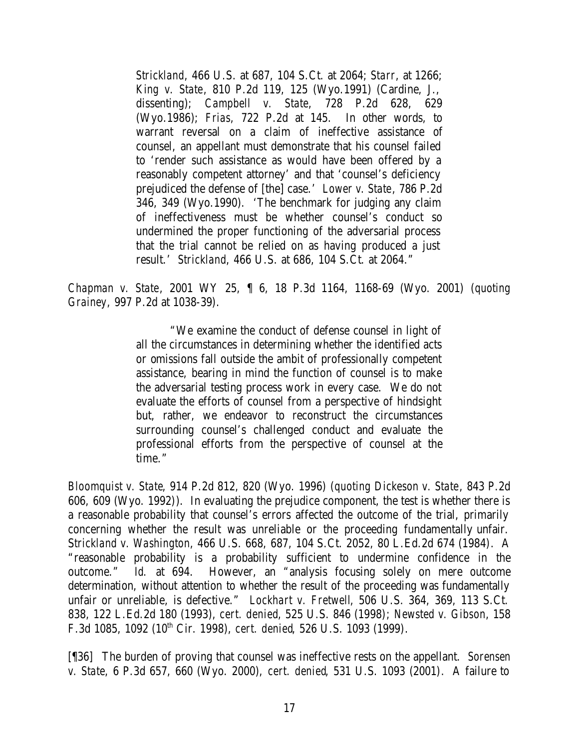*Strickland*, 466 U.S. at 687, 104 S.Ct. at 2064; *Starr*, at 1266; *King v. State*, 810 P.2d 119, 125 (Wyo.1991) (Cardine, J., dissenting); *Campbell v. State*, 728 P.2d 628, 629 (Wyo.1986); *Frias*, 722 P.2d at 145. In other words, to warrant reversal on a claim of ineffective assistance of counsel, an appellant must demonstrate that his counsel failed to 'render such assistance as would have been offered by a reasonably competent attorney' and that 'counsel's deficiency prejudiced the defense of [the] case.' *Lower v. State*, 786 P.2d 346, 349 (Wyo.1990). 'The benchmark for judging any claim of ineffectiveness must be whether counsel's conduct so undermined the proper functioning of the adversarial process that the trial cannot be relied on as having produced a just result.' *Strickland*, 466 U.S. at 686, 104 S.Ct. at 2064."

*Chapman v. State*, 2001 WY 25, ¶ 6, 18 P.3d 1164, 1168-69 (Wyo. 2001) (*quoting Grainey*, 997 P.2d at 1038-39).

> "We examine the conduct of defense counsel in light of all the circumstances in determining whether the identified acts or omissions fall outside the ambit of professionally competent assistance, bearing in mind the function of counsel is to make the adversarial testing process work in every case. We do not evaluate the efforts of counsel from a perspective of hindsight but, rather, we endeavor to reconstruct the circumstances surrounding counsel's challenged conduct and evaluate the professional efforts from the perspective of counsel at the time."

*Bloomquist v. State*, 914 P.2d 812, 820 (Wyo. 1996) (*quoting Dickeson v. State*, 843 P.2d 606, 609 (Wyo. 1992)). In evaluating the prejudice component, the test is whether there is a reasonable probability that counsel's errors affected the outcome of the trial, primarily concerning whether the result was unreliable or the proceeding fundamentally unfair. S*trickland v. Washington*, 466 U.S. 668, 687, 104 S.Ct. 2052, 80 L.Ed.2d 674 (1984). A "reasonable probability is a probability sufficient to undermine confidence in the outcome." *Id.* at 694. However, an "analysis focusing solely on mere outcome determination, without attention to whether the result of the proceeding was fundamentally unfair or unreliable, is defective." *Lockhart v. Fretwell*, 506 U.S. 364, 369, 113 S.Ct. 838, 122 L.Ed.2d 180 (1993), *cert. denied*, 525 U.S. 846 (1998); *Newsted v. Gibson*, 158 F.3d 1085, 1092 (10th Cir. 1998), *cert. denied*, 526 U.S. 1093 (1999).

[¶36] The burden of proving that counsel was ineffective rests on the appellant. *Sorensen v. State*, 6 P.3d 657, 660 (Wyo. 2000), *cert. denied*, 531 U.S. 1093 (2001). A failure to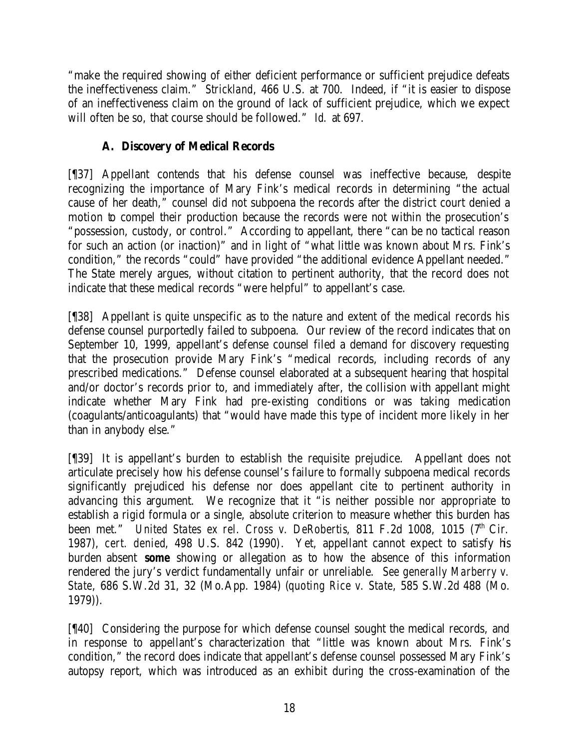"make the required showing of either deficient performance or sufficient prejudice defeats the ineffectiveness claim." *Strickland*, 466 U.S. at 700. Indeed, if "it is easier to dispose of an ineffectiveness claim on the ground of lack of sufficient prejudice, which we expect will often be so, that course should be followed." *Id.* at 697.

# **A. Discovery of Medical Records**

[¶37] Appellant contends that his defense counsel was ineffective because, despite recognizing the importance of Mary Fink's medical records in determining "the actual cause of her death," counsel did not subpoena the records after the district court denied a motion to compel their production because the records were not within the prosecution's "possession, custody, or control." According to appellant, there "can be no tactical reason for such an action (or inaction)" and in light of "what little was known about Mrs. Fink's condition," the records "could" have provided "the additional evidence Appellant needed." The State merely argues, without citation to pertinent authority, that the record does not indicate that these medical records "were helpful" to appellant's case.

[¶38] Appellant is quite unspecific as to the nature and extent of the medical records his defense counsel purportedly failed to subpoena. Our review of the record indicates that on September 10, 1999, appellant's defense counsel filed a demand for discovery requesting that the prosecution provide Mary Fink's "medical records, including records of any prescribed medications." Defense counsel elaborated at a subsequent hearing that hospital and/or doctor's records prior to, and immediately after, the collision with appellant might indicate whether Mary Fink had pre-existing conditions or was taking medication (coagulants/anticoagulants) that "would have made this type of incident more likely in her than in anybody else."

[¶39] It is appellant's burden to establish the requisite prejudice. Appellant does not articulate precisely how his defense counsel's failure to formally subpoena medical records significantly prejudiced his defense nor does appellant cite to pertinent authority in advancing this argument. We recognize that it "is neither possible nor appropriate to establish a rigid formula or a single, absolute criterion to measure whether this burden has been met." *United States ex rel. Cross v. DeRobertis*, 811 F.2d 1008, 1015 (7<sup>th</sup> Cir. 1987), *cert. denied*, 498 U.S. 842 (1990). Yet, appellant cannot expect to satisfy his burden absent *some* showing or allegation as to how the absence of this information rendered the jury's verdict fundamentally unfair or unreliable. *See generally Marberry v. State*, 686 S.W.2d 31, 32 (Mo.App. 1984) (*quoting Rice v. State*, 585 S.W.2d 488 (Mo. 1979)).

[¶40] Considering the purpose for which defense counsel sought the medical records, and in response to appellant's characterization that "little was known about Mrs. Fink's condition," the record does indicate that appellant's defense counsel possessed Mary Fink's autopsy report, which was introduced as an exhibit during the cross-examination of the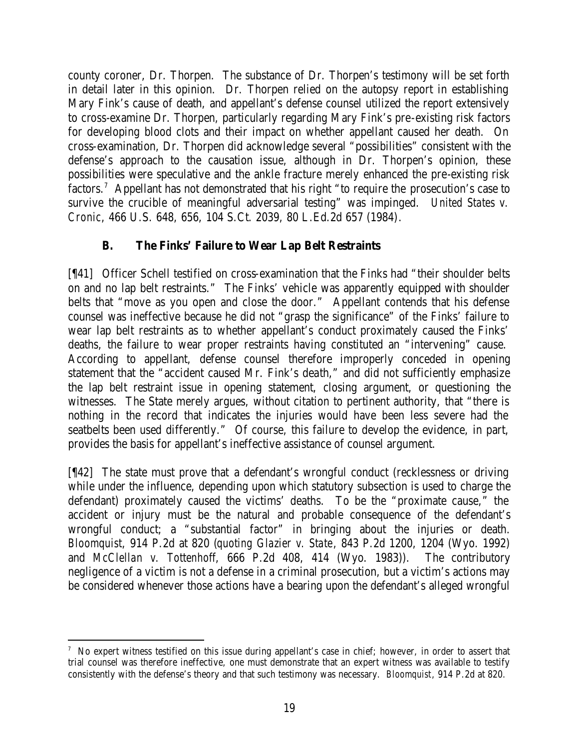county coroner, Dr. Thorpen. The substance of Dr. Thorpen's testimony will be set forth in detail later in this opinion. Dr. Thorpen relied on the autopsy report in establishing Mary Fink's cause of death, and appellant's defense counsel utilized the report extensively to cross-examine Dr. Thorpen, particularly regarding Mary Fink's pre-existing risk factors for developing blood clots and their impact on whether appellant caused her death. On cross-examination, Dr. Thorpen did acknowledge several "possibilities" consistent with the defense's approach to the causation issue, although in Dr. Thorpen's opinion, these possibilities were speculative and the ankle fracture merely enhanced the pre-existing risk factors.<sup>7</sup> Appellant has not demonstrated that his right "to require the prosecution's case to survive the crucible of meaningful adversarial testing" was impinged. *United States v. Cronic*, 466 U.S. 648, 656, 104 S.Ct. 2039, 80 L.Ed.2d 657 (1984).

# **B. The Finks' Failure to Wear Lap Belt Restraints**

[¶41] Officer Schell testified on cross-examination that the Finks had "their shoulder belts on and no lap belt restraints." The Finks' vehicle was apparently equipped with shoulder belts that "move as you open and close the door." Appellant contends that his defense counsel was ineffective because he did not "grasp the significance" of the Finks' failure to wear lap belt restraints as to whether appellant's conduct proximately caused the Finks' deaths, the failure to wear proper restraints having constituted an "intervening" cause. According to appellant, defense counsel therefore improperly conceded in opening statement that the "accident caused Mr. Fink's death," and did not sufficiently emphasize the lap belt restraint issue in opening statement, closing argument, or questioning the witnesses. The State merely argues, without citation to pertinent authority, that "there is nothing in the record that indicates the injuries would have been less severe had the seatbelts been used differently." Of course, this failure to develop the evidence, in part, provides the basis for appellant's ineffective assistance of counsel argument.

[¶42] The state must prove that a defendant's wrongful conduct (recklessness or driving while under the influence, depending upon which statutory subsection is used to charge the defendant) proximately caused the victims' deaths. To be the "proximate cause," the accident or injury must be the natural and probable consequence of the defendant's wrongful conduct; a "substantial factor" in bringing about the injuries or death. *Bloomquist*, 914 P.2d at 820 (*quoting Glazier v. State*, 843 P.2d 1200, 1204 (Wyo. 1992) and *McClellan v. Tottenhoff*, 666 P.2d 408, 414 (Wyo. 1983)). The contributory negligence of a victim is not a defense in a criminal prosecution, but a victim's actions may be considered whenever those actions have a bearing upon the defendant's alleged wrongful

<sup>7</sup> No expert witness testified on this issue during appellant's case in chief; however, in order to assert that trial counsel was therefore ineffective, one must demonstrate that an expert witness was available to testify consistently with the defense's theory and that such testimony was necessary. *Bloomquist*, 914 P.2d at 820.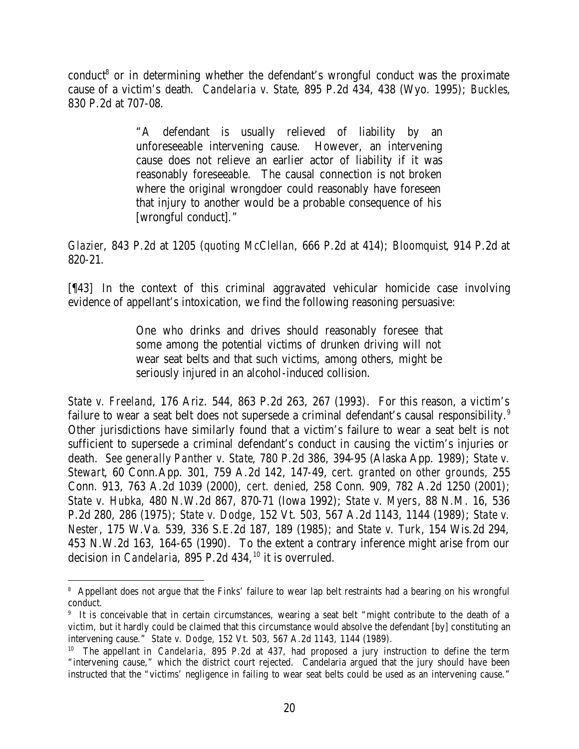conduct<sup>8</sup> or in determining whether the defendant's wrongful conduct was the proximate cause of a victim's death. *Candelaria v. State*, 895 P.2d 434, 438 (Wyo. 1995); *Buckles*, 830 P.2d at 707-08.

> "A defendant is usually relieved of liability by an unforeseeable intervening cause. However, an intervening cause does not relieve an earlier actor of liability if it was reasonably foreseeable. The causal connection is not broken where the original wrongdoer could reasonably have foreseen that injury to another would be a probable consequence of his [wrongful conduct]."

*Glazier*, 843 P.2d at 1205 (*quoting McClellan*, 666 P.2d at 414); *Bloomquist*, 914 P.2d at 820-21.

[¶43] In the context of this criminal aggravated vehicular homicide case involving evidence of appellant's intoxication, we find the following reasoning persuasive:

> One who drinks and drives should reasonably foresee that some among the potential victims of drunken driving will not wear seat belts and that such victims, among others, might be seriously injured in an alcohol-induced collision.

*State v. Freeland*, 176 Ariz. 544, 863 P.2d 263, 267 (1993). For this reason, a victim's failure to wear a seat belt does not supersede a criminal defendant's causal responsibility.<sup>9</sup> Other jurisdictions have similarly found that a victim's failure to wear a seat belt is not sufficient to supersede a criminal defendant's conduct in causing the victim's injuries or death. *See generally Panther v. State*, 780 P.2d 386, 394-95 (Alaska App. 1989); *State v. Stewart*, 60 Conn.App. 301, 759 A.2d 142, 147-49, *cert. granted on other grounds,* 255 Conn. 913, 763 A.2d 1039 (2000), *cert. denied*, 258 Conn. 909, 782 A.2d 1250 (2001); *State v. Hubka*, 480 N.W.2d 867, 870-71 (Iowa 1992); *State v. Myers*, 88 N.M. 16, 536 P.2d 280, 286 (1975); *State v. Dodge*, 152 Vt. 503, 567 A.2d 1143, 1144 (1989); *State v. Nester*, 175 W.Va. 539, 336 S.E.2d 187, 189 (1985); and *State v. Turk*, 154 Wis.2d 294, 453 N.W.2d 163, 164-65 (1990). To the extent a contrary inference might arise from our decision in *Candelaria*, 895 P.2d 434, <sup>10</sup> it is overruled.

<sup>8</sup> Appellant does not argue that the Finks' failure to wear lap belt restraints had a bearing on his wrongful conduct.

<sup>9</sup> It is conceivable that in certain circumstances, wearing a seat belt "might contribute to the death of a victim, but it hardly could be claimed that this circumstance would absolve the defendant [by] constituting an intervening cause." *State v. Dodge*, 152 Vt. 503, 567 A.2d 1143, 1144 (1989).

<sup>10</sup> The appellant in *Candelaria*, 895 P.2d at 437, had proposed a jury instruction to define the term "intervening cause," which the district court rejected. Candelaria argued that the jury should have been instructed that the "victims' negligence in failing to wear seat belts could be used as an intervening cause."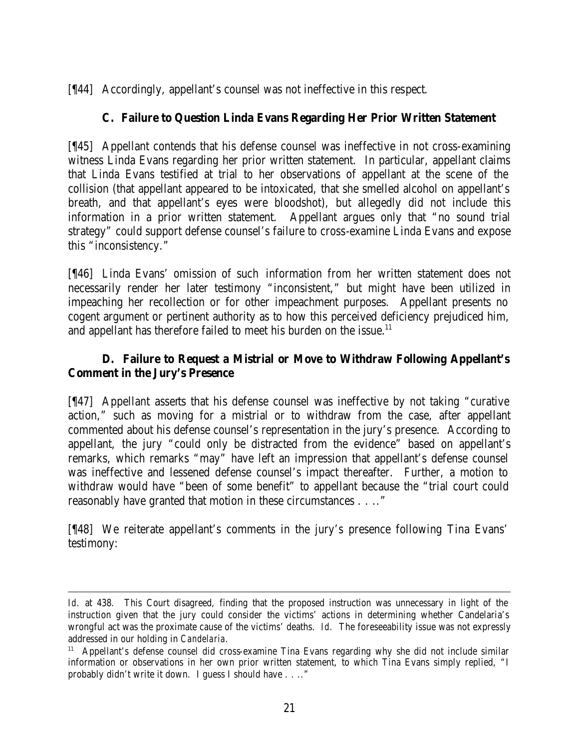[¶44] Accordingly, appellant's counsel was not ineffective in this respect.

# **C. Failure to Question Linda Evans Regarding Her Prior Written Statement**

[¶45] Appellant contends that his defense counsel was ineffective in not cross-examining witness Linda Evans regarding her prior written statement. In particular, appellant claims that Linda Evans testified at trial to her observations of appellant at the scene of the collision (that appellant appeared to be intoxicated, that she smelled alcohol on appellant's breath, and that appellant's eyes were bloodshot), but allegedly did not include this information in a prior written statement. Appellant argues only that "no sound trial strategy" could support defense counsel's failure to cross-examine Linda Evans and expose this "inconsistency."

[¶46] Linda Evans' omission of such information from her written statement does not necessarily render her later testimony "inconsistent," but might have been utilized in impeaching her recollection or for other impeachment purposes. Appellant presents no cogent argument or pertinent authority as to how this perceived deficiency prejudiced him, and appellant has therefore failed to meet his burden on the issue.<sup>11</sup>

# **D. Failure to Request a Mistrial or Move to Withdraw Following Appellant's Comment in the Jury's Presence**

[¶47] Appellant asserts that his defense counsel was ineffective by not taking "curative action," such as moving for a mistrial or to withdraw from the case, after appellant commented about his defense counsel's representation in the jury's presence. According to appellant, the jury "could only be distracted from the evidence" based on appellant's remarks, which remarks "may" have left an impression that appellant's defense counsel was ineffective and lessened defense counsel's impact thereafter. Further, a motion to withdraw would have "been of some benefit" to appellant because the "trial court could reasonably have granted that motion in these circumstances . . .."

[¶48] We reiterate appellant's comments in the jury's presence following Tina Evans' testimony:

*Id.* at 438. This Court disagreed, finding that the proposed instruction was unnecessary in light of the instruction given that the jury could consider the victims' actions in determining whether Candelaria's wrongful act was the proximate cause of the victims' deaths. *Id.* The foreseeability issue was not expressly addressed in our holding in *Candelaria*.

<sup>11</sup> Appellant's defense counsel did cross-examine Tina Evans regarding why she did not include similar information or observations in her own prior written statement, to which Tina Evans simply replied, "I probably didn't write it down. I guess I should have . . .."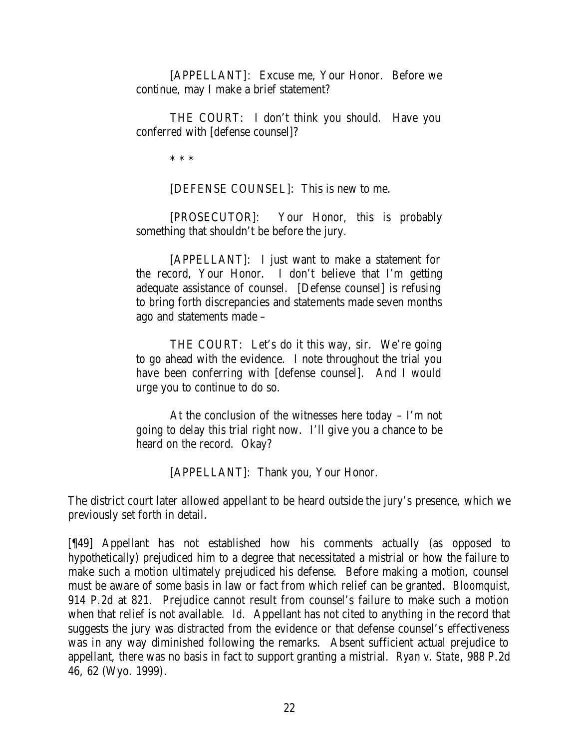[APPELLANT]: Excuse me, Your Honor. Before we continue, may I make a brief statement?

THE COURT: I don't think you should. Have you conferred with [defense counsel]?

\* \* \*

[DEFENSE COUNSEL]: This is new to me.

[PROSECUTOR]: Your Honor, this is probably something that shouldn't be before the jury.

[APPELLANT]: I just want to make a statement for the record, Your Honor. I don't believe that I'm getting adequate assistance of counsel. [Defense counsel] is refusing to bring forth discrepancies and statements made seven months ago and statements made –

THE COURT: Let's do it this way, sir. We're going to go ahead with the evidence. I note throughout the trial you have been conferring with [defense counsel]. And I would urge you to continue to do so.

At the conclusion of the witnesses here today – I'm not going to delay this trial right now. I'll give you a chance to be heard on the record. Okay?

[APPELLANT]: Thank you, Your Honor.

The district court later allowed appellant to be heard outside the jury's presence, which we previously set forth in detail.

[¶49] Appellant has not established how his comments actually (as opposed to hypothetically) prejudiced him to a degree that necessitated a mistrial or how the failure to make such a motion ultimately prejudiced his defense. Before making a motion, counsel must be aware of some basis in law or fact from which relief can be granted. *Bloomquist*, 914 P.2d at 821. Prejudice cannot result from counsel's failure to make such a motion when that relief is not available. *Id.* Appellant has not cited to anything in the record that suggests the jury was distracted from the evidence or that defense counsel's effectiveness was in any way diminished following the remarks. Absent sufficient actual prejudice to appellant, there was no basis in fact to support granting a mistrial. *Ryan v. State*, 988 P.2d 46, 62 (Wyo. 1999).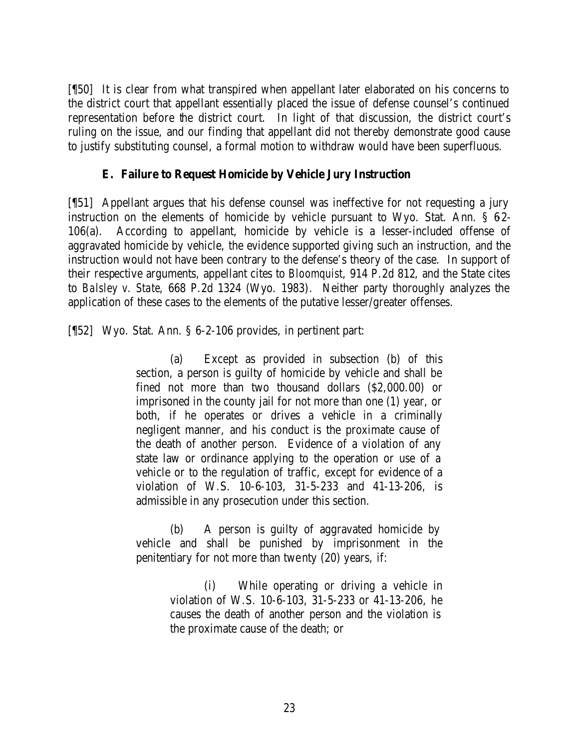[¶50] It is clear from what transpired when appellant later elaborated on his concerns to the district court that appellant essentially placed the issue of defense counsel's continued representation before the district court. In light of that discussion, the district court's ruling on the issue, and our finding that appellant did not thereby demonstrate good cause to justify substituting counsel, a formal motion to withdraw would have been superfluous.

## **E. Failure to Request Homicide by Vehicle Jury Instruction**

[¶51] Appellant argues that his defense counsel was ineffective for not requesting a jury instruction on the elements of homicide by vehicle pursuant to Wyo. Stat. Ann.  $\S$  62-106(a). According to appellant, homicide by vehicle is a lesser-included offense of aggravated homicide by vehicle, the evidence supported giving such an instruction, and the instruction would not have been contrary to the defense's theory of the case. In support of their respective arguments, appellant cites to *Bloomquist*, 914 P.2d 812, and the State cites to *Balsley v. State*, 668 P.2d 1324 (Wyo. 1983). Neither party thoroughly analyzes the application of these cases to the elements of the putative lesser/greater offenses.

[¶52] Wyo. Stat. Ann. § 6-2-106 provides, in pertinent part:

(a) Except as provided in subsection (b) of this section, a person is guilty of homicide by vehicle and shall be fined not more than two thousand dollars (\$2,000.00) or imprisoned in the county jail for not more than one (1) year, or both, if he operates or drives a vehicle in a criminally negligent manner, and his conduct is the proximate cause of the death of another person. Evidence of a violation of any state law or ordinance applying to the operation or use of a vehicle or to the regulation of traffic, except for evidence of a violation of W.S. 10-6-103, 31-5-233 and 41-13-206, is admissible in any prosecution under this section.

(b) A person is guilty of aggravated homicide by vehicle and shall be punished by imprisonment in the penitentiary for not more than twenty (20) years, if:

> (i) While operating or driving a vehicle in violation of W.S. 10-6-103, 31-5-233 or 41-13-206, he causes the death of another person and the violation is the proximate cause of the death; or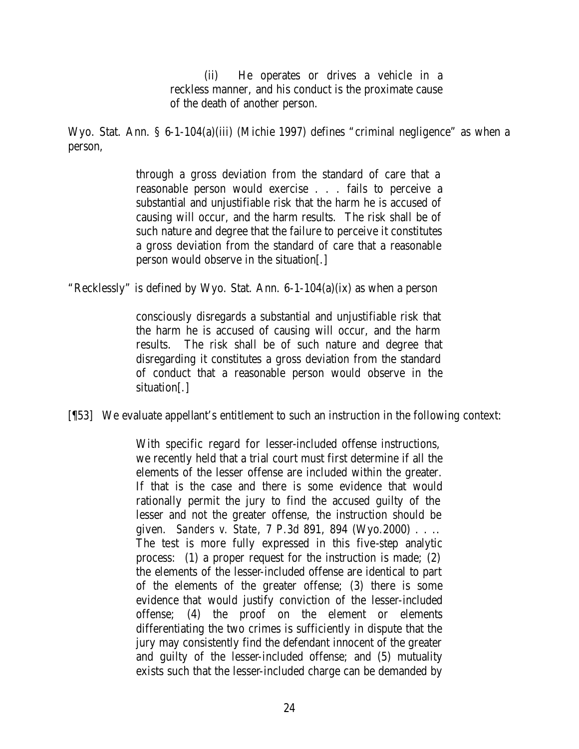(ii) He operates or drives a vehicle in a reckless manner, and his conduct is the proximate cause of the death of another person.

Wyo. Stat. Ann. § 6-1-104(a)(iii) (Michie 1997) defines "criminal negligence" as when a person,

> through a gross deviation from the standard of care that a reasonable person would exercise . . . fails to perceive a substantial and unjustifiable risk that the harm he is accused of causing will occur, and the harm results. The risk shall be of such nature and degree that the failure to perceive it constitutes a gross deviation from the standard of care that a reasonable person would observe in the situation[.]

"Recklessly" is defined by Wyo. Stat. Ann. 6-1-104(a)(ix) as when a person

consciously disregards a substantial and unjustifiable risk that the harm he is accused of causing will occur, and the harm results. The risk shall be of such nature and degree that disregarding it constitutes a gross deviation from the standard of conduct that a reasonable person would observe in the situation[.]

[¶53] We evaluate appellant's entitlement to such an instruction in the following context:

With specific regard for lesser-included offense instructions, we recently held that a trial court must first determine if all the elements of the lesser offense are included within the greater. If that is the case and there is some evidence that would rationally permit the jury to find the accused guilty of the lesser and not the greater offense, the instruction should be given. *Sanders v. State*, 7 P.3d 891, 894 (Wyo.2000) . . .. The test is more fully expressed in this five-step analytic process: (1) a proper request for the instruction is made; (2) the elements of the lesser-included offense are identical to part of the elements of the greater offense; (3) there is some evidence that would justify conviction of the lesser-included offense; (4) the proof on the element or elements differentiating the two crimes is sufficiently in dispute that the jury may consistently find the defendant innocent of the greater and guilty of the lesser-included offense; and (5) mutuality exists such that the lesser-included charge can be demanded by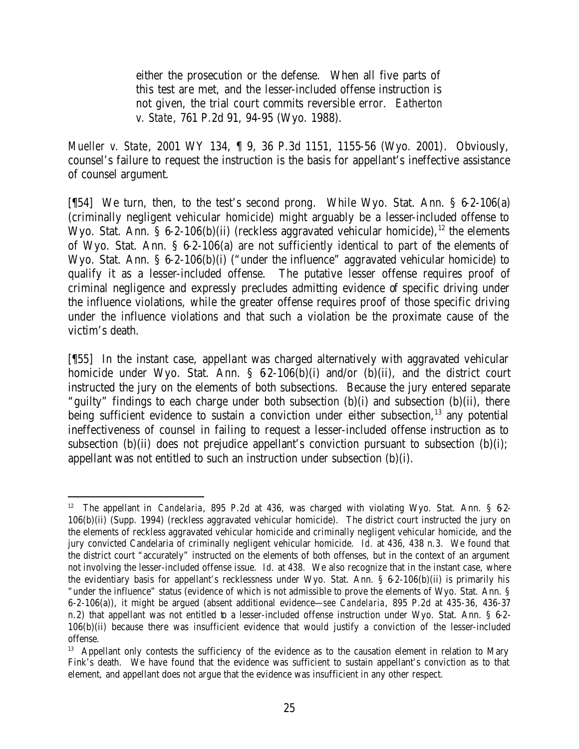either the prosecution or the defense. When all five parts of this test are met, and the lesser-included offense instruction is not given, the trial court commits reversible error. *Eatherton v. State*, 761 P.2d 91, 94-95 (Wyo. 1988).

*Mueller v. State*, 2001 WY 134, ¶ 9, 36 P.3d 1151, 1155-56 (Wyo. 2001). Obviously, counsel's failure to request the instruction is the basis for appellant's ineffective assistance of counsel argument.

[¶54] We turn, then, to the test's second prong. While Wyo. Stat. Ann. § 6-2-106(a) (criminally negligent vehicular homicide) might arguably be a lesser-included offense to Wyo. Stat. Ann. § 6-2-106(b)(ii) (reckless aggravated vehicular homicide),<sup>12</sup> the elements of Wyo. Stat. Ann. § 6-2-106(a) are not sufficiently identical to part of the elements of Wyo. Stat. Ann. § 6-2-106(b)(i) ("under the influence" aggravated vehicular homicide) to qualify it as a lesser-included offense. The putative lesser offense requires proof of criminal negligence and expressly precludes admitting evidence of specific driving under the influence violations, while the greater offense requires proof of those specific driving under the influence violations and that such a violation be the proximate cause of the victim's death.

[¶55] In the instant case, appellant was charged alternatively with aggravated vehicular homicide under Wyo. Stat. Ann.  $\S$  62-106(b)(i) and/or (b)(ii), and the district court instructed the jury on the elements of both subsections. Because the jury entered separate "guilty" findings to each charge under both subsection (b)(i) and subsection (b)(ii), there being sufficient evidence to sustain a conviction under either subsection, $13$  any potential ineffectiveness of counsel in failing to request a lesser-included offense instruction as to subsection (b)(ii) does not prejudice appellant's conviction pursuant to subsection (b)(i); appellant was not entitled to such an instruction under subsection (b)(i).

 <sup>12</sup> The appellant in *Candelaria*, 895 P.2d at 436, was charged with violating Wyo. Stat. Ann. § 62-106(b)(ii) (Supp. 1994) (reckless aggravated vehicular homicide). The district court instructed the jury on the elements of reckless aggravated vehicular homicide and criminally negligent vehicular homicide, and the jury convicted Candelaria of criminally negligent vehicular homicide. *Id.* at 436, 438 n.3. We found that the district court "accurately" instructed on the elements of both offenses, but in the context of an argument not involving the lesser-included offense issue. *Id.* at 438. We also recognize that in the instant case, where the evidentiary basis for appellant's recklessness under Wyo. Stat. Ann. § 6-2-106(b)(ii) is primarily his "under the influence" status (evidence of which is not admissible to prove the elements of Wyo. Stat. Ann. § 6-2-106(a)), it might be argued (absent additional evidence—*see Candelaria*, 895 P.2d at 435-36, 436-37 n.2) that appellant was not entitled to a lesser-included offense instruction under Wyo. Stat. Ann. § 6-2-106(b)(ii) because there was insufficient evidence that would justify a conviction of the lesser-included offense.

<sup>&</sup>lt;sup>13</sup> Appellant only contests the sufficiency of the evidence as to the causation element in relation to Mary Fink's death. We have found that the evidence was sufficient to sustain appellant's conviction as to that element, and appellant does not argue that the evidence was insufficient in any other respect.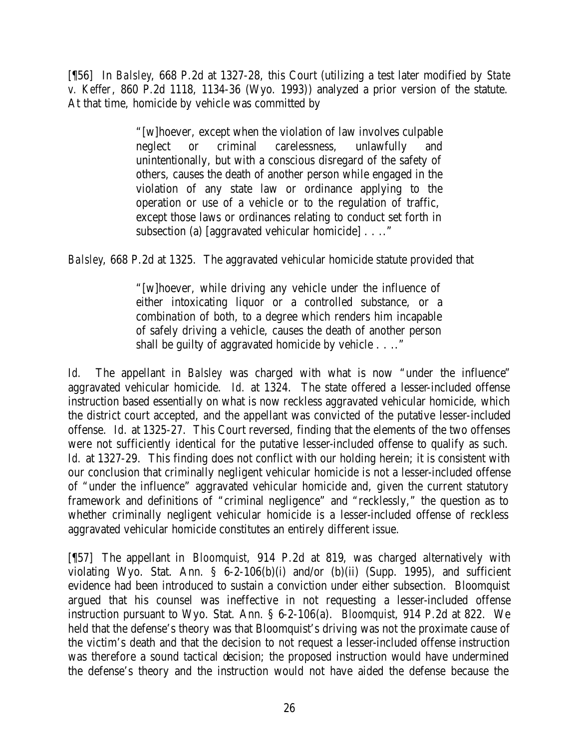[¶56] In *Balsley*, 668 P.2d at 1327-28, this Court (utilizing a test later modified by *State v. Keffer*, 860 P.2d 1118, 1134-36 (Wyo. 1993)) analyzed a prior version of the statute. At that time, homicide by vehicle was committed by

> "[w]hoever, except when the violation of law involves culpable neglect or criminal carelessness, unlawfully and unintentionally, but with a conscious disregard of the safety of others, causes the death of another person while engaged in the violation of any state law or ordinance applying to the operation or use of a vehicle or to the regulation of traffic, except those laws or ordinances relating to conduct set forth in subsection (a) [aggravated vehicular homicide] . . .."

*Balsley*, 668 P.2d at 1325. The aggravated vehicular homicide statute provided that

"[w]hoever, while driving any vehicle under the influence of either intoxicating liquor or a controlled substance, or a combination of both, to a degree which renders him incapable of safely driving a vehicle, causes the death of another person shall be guilty of aggravated homicide by vehicle . . .."

*Id.* The appellant in *Balsley* was charged with what is now "under the influence" aggravated vehicular homicide. *Id.* at 1324. The state offered a lesser-included offense instruction based essentially on what is now reckless aggravated vehicular homicide, which the district court accepted, and the appellant was convicted of the putative lesser-included offense. *Id.* at 1325-27. This Court reversed, finding that the elements of the two offenses were not sufficiently identical for the putative lesser-included offense to qualify as such. *Id.* at 1327-29. This finding does not conflict with our holding herein; it is consistent with our conclusion that criminally negligent vehicular homicide is not a lesser-included offense of "under the influence" aggravated vehicular homicide and, given the current statutory framework and definitions of "criminal negligence" and "recklessly," the question as to whether criminally negligent vehicular homicide is a lesser-included offense of reckless aggravated vehicular homicide constitutes an entirely different issue.

[¶57] The appellant in *Bloomquist*, 914 P.2d at 819, was charged alternatively with violating Wyo. Stat. Ann. § 6-2-106(b)(i) and/or (b)(ii) (Supp. 1995), and sufficient evidence had been introduced to sustain a conviction under either subsection. Bloomquist argued that his counsel was ineffective in not requesting a lesser-included offense instruction pursuant to Wyo. Stat. Ann. § 6-2-106(a). *Bloomquist*, 914 P.2d at 822. We held that the defense's theory was that Bloomquist's driving was not the proximate cause of the victim's death and that the decision to not request a lesser-included offense instruction was therefore a sound tactical decision; the proposed instruction would have undermined the defense's theory and the instruction would not have aided the defense because the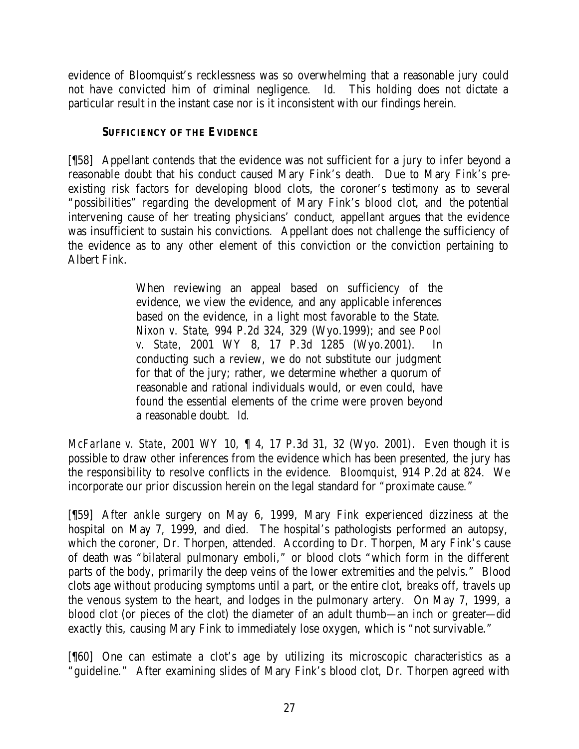evidence of Bloomquist's recklessness was so overwhelming that a reasonable jury could not have convicted him of criminal negligence. *Id.* This holding does not dictate a particular result in the instant case nor is it inconsistent with our findings herein.

### **SUFFICIENCY OF THE EVIDENCE**

[¶58] Appellant contends that the evidence was not sufficient for a jury to infer beyond a reasonable doubt that his conduct caused Mary Fink's death. Due to Mary Fink's preexisting risk factors for developing blood clots, the coroner's testimony as to several "possibilities" regarding the development of Mary Fink's blood clot, and the potential intervening cause of her treating physicians' conduct, appellant argues that the evidence was insufficient to sustain his convictions. Appellant does not challenge the sufficiency of the evidence as to any other element of this conviction or the conviction pertaining to Albert Fink.

> When reviewing an appeal based on sufficiency of the evidence, we view the evidence, and any applicable inferences based on the evidence, in a light most favorable to the State. *Nixon v. State*, 994 P.2d 324, 329 (Wyo.1999); and *see Pool v. State*, 2001 WY 8, 17 P.3d 1285 (Wyo.2001). In conducting such a review, we do not substitute our judgment for that of the jury; rather, we determine whether a quorum of reasonable and rational individuals would, or even could, have found the essential elements of the crime were proven beyond a reasonable doubt. *Id.*

*McFarlane v. State*, 2001 WY 10, ¶ 4, 17 P.3d 31, 32 (Wyo. 2001). Even though it is possible to draw other inferences from the evidence which has been presented, the jury has the responsibility to resolve conflicts in the evidence. *Bloomquist*, 914 P.2d at 824. We incorporate our prior discussion herein on the legal standard for "proximate cause."

[¶59] After ankle surgery on May 6, 1999, Mary Fink experienced dizziness at the hospital on May 7, 1999, and died. The hospital's pathologists performed an autopsy, which the coroner, Dr. Thorpen, attended. According to Dr. Thorpen, Mary Fink's cause of death was "bilateral pulmonary emboli," or blood clots "which form in the different parts of the body, primarily the deep veins of the lower extremities and the pelvis." Blood clots age without producing symptoms until a part, or the entire clot, breaks off, travels up the venous system to the heart, and lodges in the pulmonary artery. On May 7, 1999, a blood clot (or pieces of the clot) the diameter of an adult thumb—an inch or greater—did exactly this, causing Mary Fink to immediately lose oxygen, which is "not survivable."

[¶60] One can estimate a clot's age by utilizing its microscopic characteristics as a "guideline." After examining slides of Mary Fink's blood clot, Dr. Thorpen agreed with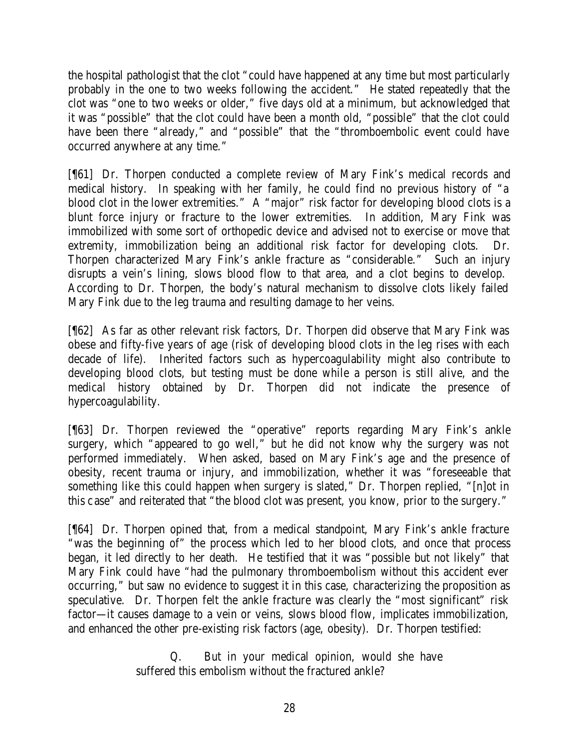the hospital pathologist that the clot "could have happened at any time but most particularly probably in the one to two weeks following the accident." He stated repeatedly that the clot was "one to two weeks or older," five days old at a minimum, but acknowledged that it was "possible" that the clot could have been a month old, "possible" that the clot could have been there "already," and "possible" that the "thromboembolic event could have occurred anywhere at any time."

[¶61] Dr. Thorpen conducted a complete review of Mary Fink's medical records and medical history. In speaking with her family, he could find no previous history of "a blood clot in the lower extremities." A "major" risk factor for developing blood clots is a blunt force injury or fracture to the lower extremities. In addition, Mary Fink was immobilized with some sort of orthopedic device and advised not to exercise or move that extremity, immobilization being an additional risk factor for developing clots. Dr. Thorpen characterized Mary Fink's ankle fracture as "considerable." Such an injury disrupts a vein's lining, slows blood flow to that area, and a clot begins to develop. According to Dr. Thorpen, the body's natural mechanism to dissolve clots likely failed Mary Fink due to the leg trauma and resulting damage to her veins.

[¶62] As far as other relevant risk factors, Dr. Thorpen did observe that Mary Fink was obese and fifty-five years of age (risk of developing blood clots in the leg rises with each decade of life). Inherited factors such as hypercoagulability might also contribute to developing blood clots, but testing must be done while a person is still alive, and the medical history obtained by Dr. Thorpen did not indicate the presence of hypercoagulability.

[¶63] Dr. Thorpen reviewed the "operative" reports regarding Mary Fink's ankle surgery, which "appeared to go well," but he did not know why the surgery was not performed immediately. When asked, based on Mary Fink's age and the presence of obesity, recent trauma or injury, and immobilization, whether it was "foreseeable that something like this could happen when surgery is slated," Dr. Thorpen replied, "[n]ot in this case" and reiterated that "the blood clot was present, you know, prior to the surgery."

[¶64] Dr. Thorpen opined that, from a medical standpoint, Mary Fink's ankle fracture "was the beginning of" the process which led to her blood clots, and once that process began, it led directly to her death. He testified that it was "possible but not likely" that Mary Fink could have "had the pulmonary thromboembolism without this accident ever occurring," but saw no evidence to suggest it in this case, characterizing the proposition as speculative. Dr. Thorpen felt the ankle fracture was clearly the "most significant" risk factor—it causes damage to a vein or veins, slows blood flow, implicates immobilization, and enhanced the other pre-existing risk factors (age, obesity). Dr. Thorpen testified:

> Q. But in your medical opinion, would she have suffered this embolism without the fractured ankle?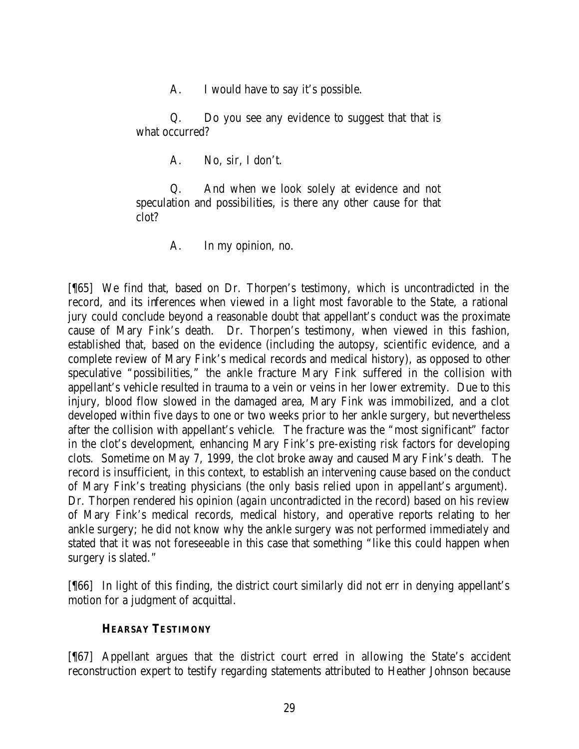A. I would have to say it's possible.

Q. Do you see any evidence to suggest that that is what occurred?

A. No, sir, I don't.

Q. And when we look solely at evidence and not speculation and possibilities, is there any other cause for that clot?

A. In my opinion, no.

[¶65] We find that, based on Dr. Thorpen's testimony, which is uncontradicted in the record, and its inferences when viewed in a light most favorable to the State, a rational jury could conclude beyond a reasonable doubt that appellant's conduct was the proximate cause of Mary Fink's death. Dr. Thorpen's testimony, when viewed in this fashion, established that, based on the evidence (including the autopsy, scientific evidence, and a complete review of Mary Fink's medical records and medical history), as opposed to other speculative "possibilities," the ankle fracture Mary Fink suffered in the collision with appellant's vehicle resulted in trauma to a vein or veins in her lower extremity. Due to this injury, blood flow slowed in the damaged area, Mary Fink was immobilized, and a clot developed within five days to one or two weeks prior to her ankle surgery, but nevertheless after the collision with appellant's vehicle. The fracture was the "most significant" factor in the clot's development, enhancing Mary Fink's pre-existing risk factors for developing clots. Sometime on May 7, 1999, the clot broke away and caused Mary Fink's death. The record is insufficient, in this context, to establish an intervening cause based on the conduct of Mary Fink's treating physicians (the only basis relied upon in appellant's argument). Dr. Thorpen rendered his opinion (again uncontradicted in the record) based on his review of Mary Fink's medical records, medical history, and operative reports relating to her ankle surgery; he did not know why the ankle surgery was not performed immediately and stated that it was not foreseeable in this case that something "like this could happen when surgery is slated."

[¶66] In light of this finding, the district court similarly did not err in denying appellant's motion for a judgment of acquittal.

## **HEARSAY TESTIMONY**

[¶67] Appellant argues that the district court erred in allowing the State's accident reconstruction expert to testify regarding statements attributed to Heather Johnson because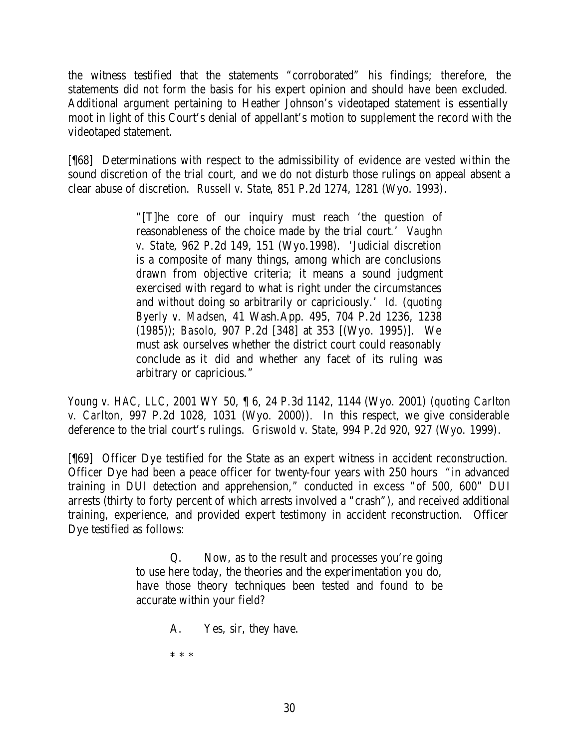the witness testified that the statements "corroborated" his findings; therefore, the statements did not form the basis for his expert opinion and should have been excluded. Additional argument pertaining to Heather Johnson's videotaped statement is essentially moot in light of this Court's denial of appellant's motion to supplement the record with the videotaped statement.

[¶68] Determinations with respect to the admissibility of evidence are vested within the sound discretion of the trial court, and we do not disturb those rulings on appeal absent a clear abuse of discretion. *Russell v. State*, 851 P.2d 1274, 1281 (Wyo. 1993).

> "[T]he core of our inquiry must reach 'the question of reasonableness of the choice made by the trial court.' *Vaughn v. State*, 962 P.2d 149, 151 (Wyo.1998). 'Judicial discretion is a composite of many things, among which are conclusions drawn from objective criteria; it means a sound judgment exercised with regard to what is right under the circumstances and without doing so arbitrarily or capriciously.' *Id.* (*quoting Byerly v. Madsen*, 41 Wash.App. 495, 704 P.2d 1236, 1238 (1985)); *Basolo*, 907 P.2d [348] at 353 [(Wyo. 1995)]. We must ask ourselves whether the district court could reasonably conclude as it did and whether any facet of its ruling was arbitrary or capricious."

*Young v. HAC, LLC*, 2001 WY 50, ¶ 6, 24 P.3d 1142, 1144 (Wyo. 2001) (*quoting Carlton v. Carlton*, 997 P.2d 1028, 1031 (Wyo. 2000)). In this respect, we give considerable deference to the trial court's rulings. *Griswold v. State*, 994 P.2d 920, 927 (Wyo. 1999).

[¶69] Officer Dye testified for the State as an expert witness in accident reconstruction. Officer Dye had been a peace officer for twenty-four years with 250 hours "in advanced training in DUI detection and apprehension," conducted in excess "of 500, 600" DUI arrests (thirty to forty percent of which arrests involved a "crash"), and received additional training, experience, and provided expert testimony in accident reconstruction. Officer Dye testified as follows:

> Q. Now, as to the result and processes you're going to use here today, the theories and the experimentation you do, have those theory techniques been tested and found to be accurate within your field?

> > A. Yes, sir, they have.

\* \* \*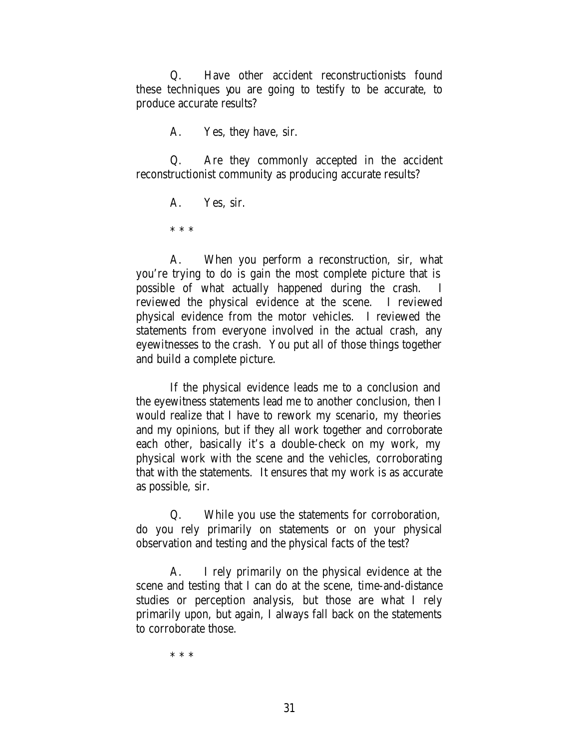Q. Have other accident reconstructionists found these techniques you are going to testify to be accurate, to produce accurate results?

A. Yes, they have, sir.

Q. Are they commonly accepted in the accident reconstructionist community as producing accurate results?

A. Yes, sir.

\* \* \*

A. When you perform a reconstruction, sir, what you're trying to do is gain the most complete picture that is possible of what actually happened during the crash. I reviewed the physical evidence at the scene. I reviewed physical evidence from the motor vehicles. I reviewed the statements from everyone involved in the actual crash, any eyewitnesses to the crash. You put all of those things together and build a complete picture.

If the physical evidence leads me to a conclusion and the eyewitness statements lead me to another conclusion, then I would realize that I have to rework my scenario, my theories and my opinions, but if they all work together and corroborate each other, basically it's a double-check on my work, my physical work with the scene and the vehicles, corroborating that with the statements. It ensures that my work is as accurate as possible, sir.

Q. While you use the statements for corroboration, do you rely primarily on statements or on your physical observation and testing and the physical facts of the test?

A. I rely primarily on the physical evidence at the scene and testing that I can do at the scene, time-and-distance studies or perception analysis, but those are what I rely primarily upon, but again, I always fall back on the statements to corroborate those.

\* \* \*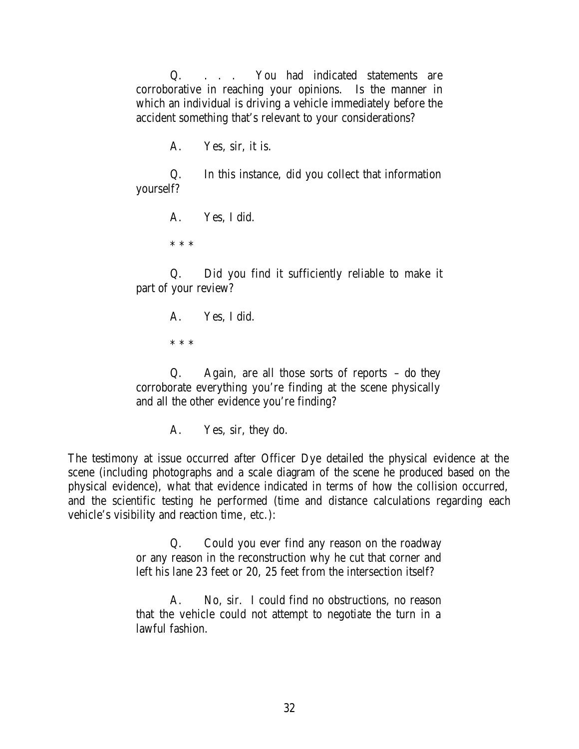Q. . . . You had indicated statements are corroborative in reaching your opinions. Is the manner in which an individual is driving a vehicle immediately before the accident something that's relevant to your considerations?

A. Yes, sir, it is.

Q. In this instance, did you collect that information yourself?

A. Yes, I did.

\* \* \*

Q. Did you find it sufficiently reliable to make it part of your review?

> A. Yes, I did. \* \* \*

Q. Again, are all those sorts of reports – do they corroborate everything you're finding at the scene physically and all the other evidence you're finding?

A. Yes, sir, they do.

The testimony at issue occurred after Officer Dye detailed the physical evidence at the scene (including photographs and a scale diagram of the scene he produced based on the physical evidence), what that evidence indicated in terms of how the collision occurred, and the scientific testing he performed (time and distance calculations regarding each vehicle's visibility and reaction time, etc.):

> Q. Could you ever find any reason on the roadway or any reason in the reconstruction why he cut that corner and left his lane 23 feet or 20, 25 feet from the intersection itself?

> A. No, sir. I could find no obstructions, no reason that the vehicle could not attempt to negotiate the turn in a lawful fashion.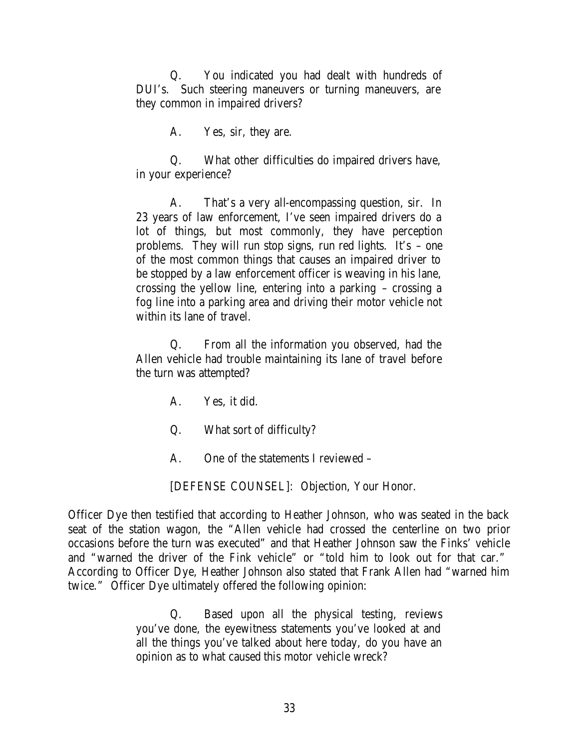Q. You indicated you had dealt with hundreds of DUI's. Such steering maneuvers or turning maneuvers, are they common in impaired drivers?

A. Yes, sir, they are.

Q. What other difficulties do impaired drivers have, in your experience?

A. That's a very all-encompassing question, sir. In 23 years of law enforcement, I've seen impaired drivers do a lot of things, but most commonly, they have perception problems. They will run stop signs, run red lights. It's – one of the most common things that causes an impaired driver to be stopped by a law enforcement officer is weaving in his lane, crossing the yellow line, entering into a parking – crossing a fog line into a parking area and driving their motor vehicle not within its lane of travel.

Q. From all the information you observed, had the Allen vehicle had trouble maintaining its lane of travel before the turn was attempted?

A. Yes, it did.

Q. What sort of difficulty?

A. One of the statements I reviewed –

[DEFENSE COUNSEL]: Objection, Your Honor.

Officer Dye then testified that according to Heather Johnson, who was seated in the back seat of the station wagon, the "Allen vehicle had crossed the centerline on two prior occasions before the turn was executed" and that Heather Johnson saw the Finks' vehicle and "warned the driver of the Fink vehicle" or "told him to look out for that car." According to Officer Dye, Heather Johnson also stated that Frank Allen had "warned him twice." Officer Dye ultimately offered the following opinion:

> Q. Based upon all the physical testing, reviews you've done, the eyewitness statements you've looked at and all the things you've talked about here today, do you have an opinion as to what caused this motor vehicle wreck?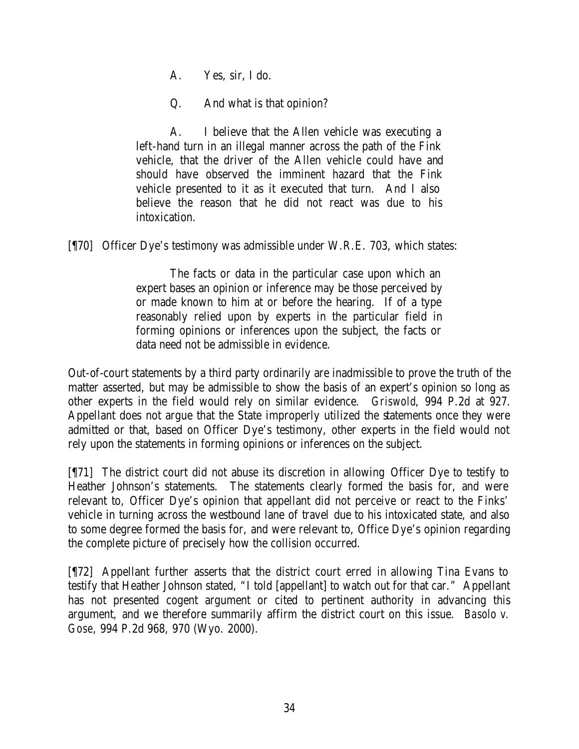A. Yes, sir, I do.

Q. And what is that opinion?

A. I believe that the Allen vehicle was executing a left-hand turn in an illegal manner across the path of the Fink vehicle, that the driver of the Allen vehicle could have and should have observed the imminent hazard that the Fink vehicle presented to it as it executed that turn. And I also believe the reason that he did not react was due to his intoxication.

[¶70] Officer Dye's testimony was admissible under W.R.E. 703, which states:

The facts or data in the particular case upon which an expert bases an opinion or inference may be those perceived by or made known to him at or before the hearing. If of a type reasonably relied upon by experts in the particular field in forming opinions or inferences upon the subject, the facts or data need not be admissible in evidence.

Out-of-court statements by a third party ordinarily are inadmissible to prove the truth of the matter asserted, but may be admissible to show the basis of an expert's opinion so long as other experts in the field would rely on similar evidence. *Griswold*, 994 P.2d at 927. Appellant does not argue that the State improperly utilized the statements once they were admitted or that, based on Officer Dye's testimony, other experts in the field would not rely upon the statements in forming opinions or inferences on the subject.

[¶71] The district court did not abuse its discretion in allowing Officer Dye to testify to Heather Johnson's statements. The statements clearly formed the basis for, and were relevant to, Officer Dye's opinion that appellant did not perceive or react to the Finks' vehicle in turning across the westbound lane of travel due to his intoxicated state, and also to some degree formed the basis for, and were relevant to, Office Dye's opinion regarding the complete picture of precisely how the collision occurred.

[¶72] Appellant further asserts that the district court erred in allowing Tina Evans to testify that Heather Johnson stated, "I told [appellant] to watch out for that car." Appellant has not presented cogent argument or cited to pertinent authority in advancing this argument, and we therefore summarily affirm the district court on this issue. *Basolo v. Gose*, 994 P.2d 968, 970 (Wyo. 2000).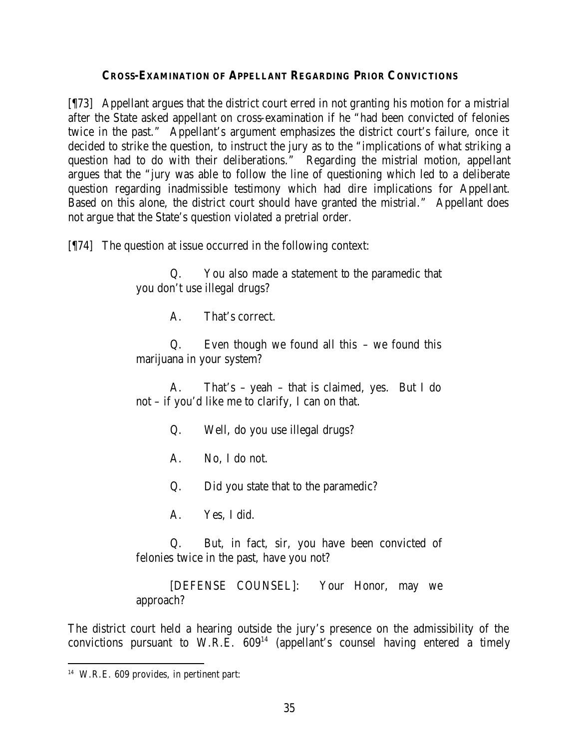## **CROSS-EXAMINATION OF APPELLANT REGARDING PRIOR CONVICTIONS**

[¶73] Appellant argues that the district court erred in not granting his motion for a mistrial after the State asked appellant on cross-examination if he "had been convicted of felonies twice in the past." Appellant's argument emphasizes the district court's failure, once it decided to strike the question, to instruct the jury as to the "implications of what striking a question had to do with their deliberations." Regarding the mistrial motion, appellant argues that the "jury was able to follow the line of questioning which led to a deliberate question regarding inadmissible testimony which had dire implications for Appellant. Based on this alone, the district court should have granted the mistrial." Appellant does not argue that the State's question violated a pretrial order.

[¶74] The question at issue occurred in the following context:

Q. You also made a statement to the paramedic that you don't use illegal drugs?

A. That's correct.

Q. Even though we found all this – we found this marijuana in your system?

A. That's – yeah – that is claimed, yes. But I do not – if you'd like me to clarify, I can on that.

- Q. Well, do you use illegal drugs?
- A. No, I do not.

Q. Did you state that to the paramedic?

A. Yes, I did.

Q. But, in fact, sir, you have been convicted of felonies twice in the past, have you not?

[DEFENSE COUNSEL]: Your Honor, may we approach?

The district court held a hearing outside the jury's presence on the admissibility of the convictions pursuant to W.R.E.  $609<sup>14</sup>$  (appellant's counsel having entered a timely

<sup>14</sup> W.R.E. 609 provides, in pertinent part: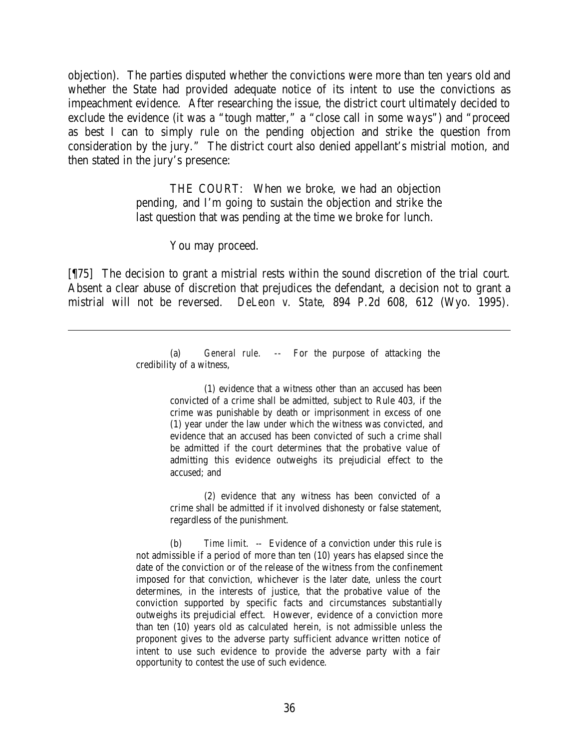objection). The parties disputed whether the convictions were more than ten years old and whether the State had provided adequate notice of its intent to use the convictions as impeachment evidence. After researching the issue, the district court ultimately decided to exclude the evidence (it was a "tough matter," a "close call in some ways") and "proceed as best I can to simply rule on the pending objection and strike the question from consideration by the jury." The district court also denied appellant's mistrial motion, and then stated in the jury's presence:

> THE COURT: When we broke, we had an objection pending, and I'm going to sustain the objection and strike the last question that was pending at the time we broke for lunch.

> > You may proceed.

[¶75] The decision to grant a mistrial rests within the sound discretion of the trial court. Absent a clear abuse of discretion that prejudices the defendant, a decision not to grant a mistrial will not be reversed. *DeLeon v. State*, 894 P.2d 608, 612 (Wyo. 1995).

> (a) *General rule*. -- For the purpose of attacking the credibility of a witness,

> > (1) evidence that a witness other than an accused has been convicted of a crime shall be admitted, subject to Rule 403, if the crime was punishable by death or imprisonment in excess of one (1) year under the law under which the witness was convicted, and evidence that an accused has been convicted of such a crime shall be admitted if the court determines that the probative value of admitting this evidence outweighs its prejudicial effect to the accused; and

> > (2) evidence that any witness has been convicted of a crime shall be admitted if it involved dishonesty or false statement, regardless of the punishment.

(b) *Time limit*. -- Evidence of a conviction under this rule is not admissible if a period of more than ten (10) years has elapsed since the date of the conviction or of the release of the witness from the confinement imposed for that conviction, whichever is the later date, unless the court determines, in the interests of justice, that the probative value of the conviction supported by specific facts and circumstances substantially outweighs its prejudicial effect. However, evidence of a conviction more than ten (10) years old as calculated herein, is not admissible unless the proponent gives to the adverse party sufficient advance written notice of intent to use such evidence to provide the adverse party with a fair opportunity to contest the use of such evidence.